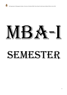# $M-B$ ,  $M=$

# SEMESTE!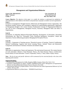# **Management and Organizational Behavior**

*Course Code: MBA18101CR MBA 1st Semester Credits: 4* 

*Cont. Assessment: 20 Term End Exam: 80 Min. Pass Marks: 40%* 

**Course Objective:** *The objective of this paper is to enable the students to understand the multiplicity of interrelated factors which influence the behavior and performance of people as members of work organizations.*  **Unit-I:** 

Evolution of management Thought-Classical, Behavioral and Management Science Approaches; The Hawthorne Studies; Systems and Contingency Approach for understanding organizations; Application of Management thought to the current scenario; Fundamental Concepts of Organizational Behavior; The role of OB in Management; Managerial Process, Functions; Managerial Skills and Roles in Organizations.

#### **Unit-II:**

Foundations of Individual Behavior-Personality-Meaning; Development of Personality; Personality Determinants; the "Big Five" Personality Traits; Emotional Intelligence. Perception;- Nature and importance; Factors influencing perception; Managing the Perception Process.

#### **Unit-III:**

Learning - Components of learning process; Theoretical process of learning- Classical Conditioning; Operant Conditioning; Cognitive and Social Learning Theory. Attitude: Nature and dimensions; Components and functions of attitude, Formation and attitude change.

#### **Unit-IV:**

Motivation in organizations: Nature and importance; The motivational framework; The content theories of work motivation- Maslow's Need Hierarchy Theory; The Dual Structure Theory of Motivation; Process theory of work motivation- Vroom's Expectancy Theory; J. Stacy Adam's Equity Theory.

**Note: -** *The list of cases and specific references will be announced by the concerned faculty in the class at the beginning of the semester.*

- 1. *Fundamentals of Management by Griffin, Houghton Mifflin Company, Boston New York, U.S.A*
- *2. Essentials of Management by Andrew J/DuBrin THOMSON-South western Management of Organizational Behavior by Hersey/Balanchard/Johnson Pearson Education-New Delhi*
- *3. Organizational Behavior by Stephen Robins- Pearson Education-New Delhi Organizational Behavior by Fred Luthans- McGraw-Hill*
- *4. Organizational Behavior by Debra/James – THOMSON-South-Western*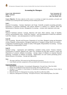# **Accounting for Managers**

*Course Code: MBA18102CR MBA 1st Semester Credits: 4*

*Cont. Assessment: 20 Term End Exam: 80 Min. Pass Marks: 40%*

**Course Objective:** *The basic objective of this course is to develop an insight into postulates, principles and techniques of accounting that help in planning, decision-making and control.*

#### **Unit-I**

Financial Accounting - Concept, Importance and Scope. Generally accepted accounting principles, Preparation of Financial Statements with special reference to analysis of a Balance Sheet and Measurement of Business Income. Management Accounting – concept, need, importance and scope.

#### **Unit-II**

Financial Statement Analysis- Concept, objectives and types. Ratio analysis- study of liquidity, solvency and profitability ratios. Funds Flow Analysis – uses and preparation of funds flow statement. Cash Flow Analysis – uses and preparation of cash flow statement.

#### **Unit-III**

Cost Accounting - Records and Processes, Preparation of cost sheet. Marginal costing and absorption costing. Marginal costing equation, Managerial application of marginal costing. Break even analysis – Computation of breakeven point, margin of safety. Profit graphs. Responsibility Accounting – Concept and Objectives, Responsibility Centres.

#### **Unit-IV**

Standard costing – organization and establishing a standard costing system. Variance Analysis-Classification of variances, Material cost, Labor cost, Overhead cost and sales variances. Causes and Disposition of variances. Inflation Accounting – concept, impact of inflation on corporate financial statements. Techniques of inflation accounting – Replacement cost and Current purchasing power. Human Resource Accounting – Concept and Approaches.

#### *Note:-*

- *1. This paper shall have 70% numerical and 30% theoretical questions.*
- *2. Cases Studies and other assignments will be provided by the concerned faculty in the class.*

- *1. Batacharya S.K. & Dearden J. Accounting for Management- Text and Cases. Vikas New Delhi*
- *2. Heitger LE and Matulich Serge Financial Accounting. McGraw Hill, New York.*
- *3. Horngren C T, Sundem G L and Stratton W. Introduction to Management Accounting. Prentice Hall of India New Delhi.*
- *4. Khan M Y & Jain P K. Management Accounting. Tata McGraw-Hill, New Delhi.*
- *5. Sahaf M A. Management Accounting – Principles & Practice, Vikas Publishing House, New Delhi.*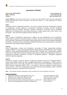# **Quantitative Methods**

*Course Code: MBA18103CR MBA 1st Semester Credits: 4*

*Cont. Assessment: 20 Term End Exam: 80 Min. Pass Marks: 40%*

**Course Objective:** *The objective of the course is to make the students familiar with some basic mathematical, statistical and operations research techniques. The main focus, however, is in their applications in business decision making.* 

#### **Unit-I**

Mathematical basis of Managerial decisions - An overview; Nature and Scope of Quantitative methods in management; Scientific approach to Quantitative techniques; Functions and their managerial application (linear & quadratic functions); Concept of Derivative of functions and its managerial applications for finding maxima and minima (functions of single variable only); Game Theory: Zero sum games – Pure and mixed strategies (matrices reducible to  $2\times2$ )

#### **Unit-II**

Basic concepts of Probability, Applications of addition rule and multiplication rule of probabilitysimple situation problems; Numerical problems on Bayes' theorem- the special case of multiplication rule; Elementary characteristics and simple situation applications of discrete and continuous probability distribution:- Binomial, Poisson and Normal probability Distribution only; Queuing theory: Elementary characteristics and simple situation applications

#### **Unit-III**

Linear Programming: Concept and formulation/ structuring of Linear programming problems; Graphical Method to Linear programming problems (Maximization and Minimization cases), Simplex method to linear programming problems, Involving Slack Variables only; Transportation problem: Initial basic feasible solution methods, Modified approximation method for finding optimal solutions to transportation problems; Introductory concepts in Assignment problems – Hungarian assignment method for optimal assignment.

#### **Unit-IV**

Introductory concepts in network analysis: Programme Evaluation and Review Technique (PERT) / Critical Path Method (CPM) and their managerial applications; Computations in PERT networksfinding earliest times, latest times and floats for events and activities; Probability considerations in PERT networks; Elementary PERT/ CPM – Cost Analysis, Time-cost tradeoff in network analysis; Decision theory: criteria for managerial decisions under uncertain and probabilistic kinds of decision making environments; Calculation of EMV and EVPI.

*Note: - Cases Studies and other assignments will be provided by the concerned faculty in the class.* 

|                | Quantitative techniques in Management/Vohra, N.D.,               | Tata McGrawHill, New Delhi |
|----------------|------------------------------------------------------------------|----------------------------|
|                | Mathematics for Management/Ragavachari, M.                       | Tata McGrawHill, New Delhi |
| 3              | Business Statistics/Gupta, SP and Gupta, MP                      | Sultan Chand, New Delhi    |
| $\overline{A}$ | Basic Statistics for Business & Economics/Kazmier L.J & Pohl, NF | McGrawHill, New York       |
|                | Statistics for Management/Levin Richard I & RubinDavid           | Prentice Hall Inc          |
|                |                                                                  |                            |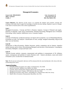# **Managerial Economics**

*Course Code: MBA18104CR MBA 1st Semester Credits: 4*

*Cont. Assessment: 20 Term End Exam: 80 Min. Pass Marks: 40%*

**Course Objective:** *The objective of this course is to acquaint the students with economic concepts and techniques and enable them to apply this knowledge in business decision making. Emphasis is given to changes in the nature to business firms in the context of globalization.*

#### **Unit-I**

Managerial Economics - Concept and Role in Business Analysis; Concept of Demand and supply, Elasticity of Demand- Types and its measurement. Demand Forecasting: Managerial uses of Demand Forecasting, Utility Analysis, Indifference curve, Consumer Surplus.

#### **Unit-II**

Concepts of Production- production function, Iso-Quant and its properties. Law of Diminishing Returns, Economies of scale, Cost analysis- Classification of costs, average- marginal relationship, long-run and short–run cost functions.

#### **Unit-III**

Introduction to Micro-Economics, Market Structures- perfect competition and its features: imperfect market structure and its forms, Discriminating Monopoly and decrease of discrimination, Consumption, Investment, Multiplier- concept and frame work.

#### **Unit-IV**

National Income analysis- measures, measurement and problems in measurement of NI, Inflationcauses, consequences and methods of control, Business cycle – features and phases, causes and control of business cycle, Circular flow of national income.

**Note:** *The list of cases and specific references will be announced by the concerned faculty in the class at the time of launching of the course.*

- *1. Principles of Microeconomics/ H L Ahuja, S Chand & Sons, New Delhi*
- *2. Business Economic /Adhikary Excel Books, New Delhi.*
- 3. *Economic Theory & Operations Analysis/ Baumol WJ Prentice Hall Inc., New Delhi.*
- 4. *Managerial Economics/ Choptra, TATA McGraw Hill, New Delhi.*
- 5. *Managerial Economics/ Keat, Paul G. And Philips K.Y. Young Prentice Hall, New Jersey.*
- 6. *Modern Micro Economics/ Koutsoyiannis Macmillan, New York.*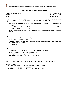# **Computer Applications in Management**

*Course Code MBA18106DCE MBA 1st Semester Credits: 3*

*Cont. Assessment: 15 Term End Exam: 60 Min. Pass Marks: 40%*

**Course Objective:** *This course aims at making students conversant with the basic concepts of computers, various input, output, and storage devices, software and operating systems and MS-office.*  **Unit-I**

- Introduction to computers, Block Diagram of Computer, Advantages and Disadvantages of computers
- Evolution (Generations) and classification of computers (super, mainframe, Mini, Micro etc)
- Common I/O devices and their characteristics.
- Primary and secondary memory: RAM and ROM, Hard Disk, Magnetic Tape and Optical devices.

#### **Unit-II**

- Computer software: Classification and Types.
- Generations of computer Languages
- Operating System: Functions, types-Multiprogramming, Multiprocessing, Timesharing, Real time, Online and Batch Systems.
- Booting process

#### **Unit-III**

- Windows Basics: The Desktop, My Computer, Working with files and Folders.
- Windows Explorer, Windows Help and Support centre.
- Searching in Windows and System utilities.
- Start Menu, Accessories like Notepad, Paint and WordPad.

*Note: - Practical work and other assignments will be provided by the concerned faculty in the class.* 

- *1. ITLES,"Introduction to Information Technology", Pearson Education.*
- *2. Peter Norton,"Introduction to Computers", PHI.*
- *3. Sanders M, "Computers in Business: An introduction" McGraw Hill*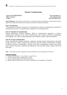## **Business Communication**

*Course Code: MBA18107DCE MBA 1st Semester Credits: 3*

*Cont. Assessment: 15 Term End Exam: 60 Min. Pass Marks: 40%*

**Course Objective:** *The objective of this paper is to equip the students with Business Communication Skills to enable them to effectively communicate and present the technical report/presentations.*

#### **Unit–I: Introduction**

Communication in Business, the process of communication, models of communication, principles of communication, barriers of communication, Strategies for overcoming Barriers.

#### **Unit–II: Channels of Communication**

Channel effectiveness, Channel limitations. Media of communication approaches to effective communication, Essentials of non verbal communication, types: kinesics, proxemics, paralanguage, time language, color, report writing organization and techniques, Short& Long Formal Reports.

#### **Unit–III: Group Communication**

Group communication through committees, conference and other formal communication with public at large, interviews, seminar, symposia and conferences. Specific business communication: essentials of effective business communication .structure of business correspondence: inquires and replies, orders and their executions, complaints and adjustment, credit and status inquires, agency letters and sales letters.

**Note: -** *Case studies and other assignment will be provided by the concerned faculty in the class.*

- *1. Lesikar, Petit & Lesikar's, Basic Business, Tata McGraw*
- *2. Poe & Fruchling, Basic Communication, AITBS*
- *3. Diwan & Aggarwal Business Communication Excel*
- *4. Baugh, Frayer & Thomas, How to write first class Business Correspondence, Viva Books*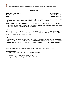# **Business Law**

*Course Code MBA18108DCE MBA 1st Semester Credits: 3*

*Cont. Assessment: 15 Term End Exam: 60 Min. Pass Marks: 40%*

**Course Objective:** *The objective of the course is to acquaint the students with the basic understanding of business law and enable them to provide an insight into the legal aspect of the business.* **Unit-I:** 

Indian Contract Act 1872– General principles– Essentials and types of contract - Offer, Acceptance and Consideration –Free Consent - Competency of the parties- Legality of object and consideration – Quasi contracts- Performance , termination breach and remedies

#### **Unit-II:**

Law of Sale of Goods. Sale vs agreement to sell- Goods, price, time , conditions and warranties – Doctrine of caveat Emptor- Unpaid seller - Partnership act 1932, Essentials of partnership – definition, formation of partnership, dissolution of partnership.

#### **Unit-III:**

Company Law : Introduction: Companies Act , 2013 – Characteristics and kinds of companies – Registration – Meetings – Types of meetings – Insolvency and Winding up of Companies - Consumer protection Act 1986: General introduction, definition, constitution of forms – their functions and powers.

**Note***:- Case studies and other assignments will be provided by the concerned faculty in the class.*

- *1. Shukla, M. C. (2007). A Manual Of Mercantile Law. S. Chand.*
- *2. Kapoor, N. D. (2009). Mercantile Law. Sultan Chand & Sons.*
- *3. Singh, A. (1980). Law of Contract. Eastern Book Co.*
- *4. Singh, A. (1966). Indian Company Law. Eastern Book Company.*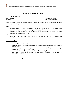## **Financial Appraisal of Projects**

*Course Code:MBA18001GE Credits: 2 Min. Pass Marks: 40 %*

*MBA 1st Semester Term End Exam: 50* 

**Course Objective:** *The purpose of this course is to acquaint the students with the procedure and practice of financial appraisal of projects.* 

#### **Unit I**

Financial Appraisal – Concept. Estimation of project cost. Means of financing. Working capital requirements and its estimation. Financing of working capital.

Estimation of working results. Cost of Production and Profitability Estimates. Cash flow Estimates. Projected Balance sheets.

#### **Unit II**

Project Appraisal Techniques - Payback Period, Average Rate of Return, Net Present Value and Internal Rate of Return.

#### **Suggesting Readings:**

- *1. Arnold G. "Corporate Finance", Pearson Education, New Delhi.*
- *2. Chandra Prasanna. Project; Planning, Analysis, Financing, Implementation and Control, New Delhi, Tata McGraw Hill.*
- *3. Chitale V P. Project Viability in Inflationary Conditions – A Study of Capital Cost and Project Viability, New Delhi, Vikas Publishing House.*
- *4. Pandey I.M., "Financial Management" New Delhi, Vikas Publishing House.*
- *5. Patel B M. Project Management – Strategic Financial Planning, Evaluation and Control. New Delhi, Vikas Publishing House.*

*Name of Course Instructor:- Prof. Mushtaq A Darzi*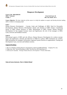# **Manpower Development**

*Course Code: MBA18001OE Credits: 2 Min. Pass Marks: 40 %*

*Term End Exam: 50* 

**Course Objective:** *The basic objective of this course is to help the students to acquire and develop decision making skills in relation to managing people*

#### **Unit-I**

Human Resource Development: – Concept, Goals and Challenges of HRD; Need for Personality Development; Human Resource Development climate and elements of HRD climate; Contributing factors of HRD climate practices in India; Measurement of HRD Climate; Human Resource Development for line mangers-Concept; issues and Significance; the role of line managers in HRD; Cases, exercises and feedback sessions.

#### **Unit-II**

Motivational aspects of HRD and role efficacy; Human Resource Development for workers-concept; Issues and significance; rationale and objectives of HRD for workers; HRD mechanism for workers; HRD mechanisms for managers; Performance Appraisal System Practices in organizations; Training and Development Cases, exercises and feedback sessions.

#### **Suggested Readings:**

- *1. Rao,T.V. Reading in Human Resource Development, Oxford and IBH Publishing Company Pvt. Ltd.;*
- *2. Singh, Rao, Nair. Selected Readings in HRD. Tata McGraw Hill Publishing Co.;*
- *3. Srinivasan R. Kandula, "Strategic Human Resource Development" Prentice Hall India;*

*Name of Course Instructor: Prof. S. Mufeed Ahmad*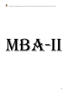

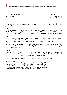## **Human Resources Management**

*Course Code: MBA18201CR MBA 2nd Semester Credits: 4*

*Cont. Assessment: 20 Term End Exam: 80 Min. Pass Marks: 40%*

**Course Objective**: *The basic objective of this course is to help the students to acquire and develop decision making skills in relation to managing people in organizations and to create an understanding of the various policies and practices of human resource management.* 

#### **Unit -I**

Human Resource Management. - Nature, Philosophy, significance and core values of HRM, Evolution of HRM; Challenges facing HRM and impact of technology on HRM practices. Role of HR managers. The qualities of good HR managers and determining personal effectiveness  $\&$  sense of efficacy. who am I exercise.

#### **Unit-II**

Human Resource Planning-Concept and process. Job Analysis, methods and purpose of job analysisjob description, job specification and job evaluation. Recruitment Search-process, sources and methods of recruitment. Selection Process. Placement, induction, internal mobility and separations.

#### **Unit-III**

Performance Appraisal System(PAS)-Concept, objectives and uses of PAS. PAS Methods and sources. Appraisal errors. Discipline and grievance handling Mechanism. Industrial relations, Causes for good and poor industrial relations.

#### **Unit-IV**

Manpower Training and Development – Concept, objectives and significance. Determination of training needs. Methods for operatives training and management development programmes. Stages of Training programmes. Evaluation of effectiveness of training Programmes.

**Note: -** *The case studies/ presentations will be announced by the course instructor during the semester.*

#### **Suggested Readings:**

1*.E. Schuster Human Resource Management ,Concept ,Cases And Readings ,PHl* 

*2.Gary Dessler, Human Resource Management, Pearson Education ,13th Edition* 

*3. UdaiPareek, Training Instruments In Hrd And Od ,Tata Mac Graw Hill 2nd Edition* 

*4.M.S. Saiyadian , Human Resource Management, Tata Mac Graw Hill 3rd Edition* 

*5.Shell/Bohlander, Human Resource Management, Cengage Learning*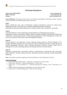# **Marketing Management**

*Course Code: MBA18202CR MBA 2nd Semester Credits: 4*

*Cont. Assessment: 20 Term End Exam: 80 Min. Pass Marks: 40%*

**Course Objective:** *The purpose of this course is to develop understanding of underlying concepts, strategies and issues involved in the marketing of products and services.*

#### **Unit-I**

Nature, Significance and scope of Marketing; Company Orientations towards the market place; Marketing concepts, Trends and Tasks; Strategic Marketing planning; Scanning the Marketing Environment; Marketing Research; Creating customer value, Satisfaction, and loyalty.

#### **Unit-II**

Consumer Behavior; Factors influencing consumer Behavior and Buying decision process;

Segmenting consumer and business Markets; Market Targeting; Building Strong Brands-Dealing with competition, Creating Brand Equity; Crafting Branding positions; Product Management; Product life cycle, New product and Decisions; Product packaging and labeling.

#### **Unit-III**

Pricing objectives and approaches; Factors affecting pricing decisions; Pricing Strategies; Price Changes; Marketing channels and value Networks; Role of Marketing channels; Channel design and channel Management Decisions; Factors affecting distributors decisions; Channel conflict and its Management. Growth in Retailing Industry and Strategic decisions in Retail business.

#### **Unit-IV**

Marketing communications, Developing effective communications, Advertising, Sales promotion, public Relations; Personal Selling and Direct Marketing; Internal Marketing; Socially Responsible Marketing.

*Note:-Cases Studies and other assignments will be provided by the concerned faculty in the class.*

- *1. Gary Armstrong and Philip Kotler, "Marketing: An Introduction" Prentice Hall;*
- *2. Philip Kotler, and Keller, "Marketing Management" Prentice Hall;*
- *3. Ramaswamy, V.S. and Namakumari, S, "Marketing Management, Planning, Control" Macmilliam, New Delhi;*
- *4. Stanton, William,J.Fundamentals of Marketing, New York, McGraw Hill ;*
- *5. Rajan Saxena, "Marketing Management" McGraw Hill Companies.*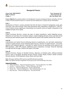# **Managerial Finance**

*Course Code: MBA18203CR MBA 2nd Semester Credits: 4*

*Cont. Assessment: 20 Term End Exam: 80 Min. Pass Marks: 40%*

**Course Objective:***To acquaint students to the fundamental concepts of managerial finance and policy with view to apply rich body of financial theory in corporate decision making and in creating value for shareholders.*

#### **Unit–I**

*Introduction to Finance:* concept, principles that form the basics in financial management, scope, goal of the firm; *Time value of money*- future value and present value computation, comparing P.V. with F.V; Cost of Capital-concept, significance, determining cost of specific sources of capital, computation of the weighted average cost of capital.

#### **Unit-II**

*Capital Investment Decision*: concept and types of capital expenditures, capital budgeting process, Estimation of Cash Flows for investment analysis, Capital budgeting decision criteria:-pay-back period and post pay-back method, present value method and net present value method, internal rate of return:

#### **Unit-III**

*Capitalization and Capital Structure-*Meaning, theories of capitalization, over and under capitalization; concept of capital structure, factors affecting capital structure, relevance of capital structure –net income approach and traditional approach , Irrelevance of capital structure-net operating income approach and MM hypothesis, EBIT EPS analysis, Indifference point computation; *Leverage:* Financial, Operating Leverage and total leverage, Analysis and impact of leverage.

#### **Unit–IV**

*Dividend Decision:* Purpose of dividend decision, objectives of dividend policy, different dividend policies, forms of dividends, Dividend relevance theories: Walters Model, Gordon's Model; Dividend relevance theories- M.M.Hypothesis; Bonus Shares and Stock Split.

*Note:*-*This paper shall have 60% numerical and 40% theoretical questions. Note: Case Studies and other assignments will be given by the concerned faculty in the class.*

- *1. James, Van Horne, "Financial management policy", Pearson Education, New Delhi*
- *2. Arnold G. "Corporate Finance", Pearson Education, New Delhi.*
- *3. Keown A.J. "Financial Management" Prentice Hall Of India*
- *4. Pandey I.M., "Financial Management" Vikas Publishing House Pvt. Ltd.*
- *5. Khan and Jain, "Financial Management" Tata McGraw Hill*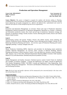# **Productions and Operations Management**

*Course Code: MBA18204CR MBA 2nd Semester Credits: 4*

*Cont. Assessment: 20 Term End Exam: 80 Min. Pass Marks: 40%*

**Course Objective:** *The course is designed to acquaint the students with decision making in Planning, scheduling and control of Production and Operations function, productivity improvement in operations through layout engineering and quality management etc.; effective and efficient flow, replenishment and control of materials with reference to both manufacturing and services organizations.* 

#### **Unit-I**

Production and Operations Management- an overview; Nature and scope of Production/ Operations Management; Historical perspective of Operations Management; Operations as a System:- Continuous and Intermittent production system, flow, batch and job type of production; Operations strategy and elements of operations strategy; Facility location: Factors affecting plant location, Brown and Gibson Model of plant location

#### **Unit-II**

Manufacturing systems and layouts: Product, Process and cellular layouts, layout planning and Analysis; Production Process Planning and Design: factors affecting process design; Concept of Line Balancing; Production Planning and Control – An overview; types of Production Planning and Control; Aggregate planning:- Concept, strategies and costs

#### **Unit-III**

Master Production Scheduling (MPS): objectives and procedure for developing master production schedule; Materials Management: An overview; Basic concepts of Material Handling; Material Planning and Inventory Control; Inventory Control: Costs and objectives; Inventory control techniques; ABC Analysis: Just in Time (JIT); Materials Requirement Planning (MRP); Economic Order Quantity Model (E.O.Q with deterministic Demand) and practical problems on EOQ.

#### **Unit-IV**

Quality Management and Quality Assurance: Statistical process control–Control Charts for Attributes and Variables; Acceptance sampling: - Concept and significance; Six Sigma: concept & significance; Total Quality Management (TQM) ; ISO-9000- Concept and Significance; Value Engineering:- Basic Concepts; Maintenance Management – Preventive and Breakdown Maintenance; Purchase Management and Purchasing Procedure;

**Note:-***The list of cases and specific references will be announced by the concerned faculty in the class at the time of launching of the course.* 

#### **Suggested Readings:**

1. *Adam,E.E.& Ebert,RJ. Production and Operations Management. 6th ed., New Delhi, Prentice Hall of India*

- *2. Amrine Harold T. etc. Manufacturing Organizations and Management. Englewood Cliffs, New Jersey, Prentice Hall Inc.*
- *3. Buffa, E.S. Modern Production Management, New York, John Wiley*
- *4. Chary, S.N. Production and Operations Management, New Delhi, Tata McGraw Hill*
- *5. Dobler, Donald W and Lee, Lamar. Purchasing and Materials Management. New York, McGraw Hill*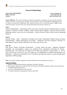# **Research Methodology**

*Course Code: MBA18206DCE MBA 2nd Semester Credits: 3*

*Cont. Assessment: 15 Term End Exam: 60 Min. Pass Marks: 40%*

**Course Objective:** *This course introduces and discusses approaches, strategies, and data collection methods relating to research in social sciences. Students will consider how to select the appropriate methodology for use in a study to be performed. Additionally, these students will learn how to collect data based on different data collection methods, construct these tools, and pilot them before they become ready for use.*

#### **Unit-I**

Research Methodology - Epistemology Nature and Scope, Scientific Research, Building Blocks, Concepts, Construct, Parsimony, variables, attributes, validity concept, theory building in research, Research Process, Marketing research, value and cost of information – Baysian Decision Theory, Ethical issues in Marketing Research.

#### **Unit-II**

Research Design – types – Exploratory, Descriptive and Casual, Experimental Design-Concept and types, Experimentation –Validity Measurement and Scaling – Comparative and Non-Comparative Thurston's V-Scale Model, OS good's Semitic differential scale, Likert scale, Q-sort scale.

#### **Unit -III**

Data Source- Primary, Secondary Questionnaire – Concept, design and types , Sampling Techniquesprobability and non-probability, sample size, Sampling Errors. Hypothesis Formulation & Testing - Parametric tests- one sample and two sample tests for means and properties of large samples Z –Test, T-Tests, ANOVA one way and two way. Chi- Square test for independence of attributes and goodness of fit. Kolmogrov – Smirnow test and goodness of fit, Correlation and regression Analysis concept and application-Application of SPSS package.

**Note:-***Case studies and other assignments will be provided by the concerned faculty in the class.*

- *1. Withian G.Zikmund Business Research Methods, CENGAGE Learning.*
- *2. Mark Saunders, Philp Lewis and Adrian Thorn Hill- Research Methods for Business students, Pearson Education.*
- *3. N. Malhotra Marketing Research.*
- *4. Pal Green- Marketing Research, McGraw Hill.*
- *5. Levin Robin Statistics for Management Practices Hall India.*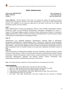# **Public Administration**

*Course Code: MBA18207DCE MBA 2nd Semester Credits: 3*

*Cont. Assessment: 15 Term End Exam: 60 Min. Pass Marks: 40%*

**Course Objective: -** *The Key objective of this course is to acquaint the students with planning, executions, monitoring and controlling of activities in the public administration to train them in public administration decisions. The candidates are also expected to appreciate the role public servants play in the welfare and development of public and nation building.*

#### **Unit- I**

Public Administration- Evolution and significance; Wilson's vision of Public Administration; Weber's bureaucratic model and post-Weberian Developments; Participative Management (R. Likert, C. Argyris, D. McGregor); Riggsian models; Evolution of Indian Administration: Kautilya's Arthashastra; Mughal administration; Legacy of British rule in politics and administration; Good Governance, Impact of liberalisation on administration in developing countries.

#### **Unit- II**

Administrative Law, Delegated legislation; Administrative Tribunals; Right to Information; Development administration; 'Antidevelopment thesis'; Bureaucracy, democracy and development; Models of policy-making; State theories and public policy formulation; Public borrowings and public debt; Budgets – types and forms; Budgetary process; Financial accountability; Parliamentary control of public expenditure; Role of Controller General of Accounts and Comptroller and Auditor General of India.

#### **Unit- III**

Union Government and Administration (Indian): Executive, Parliament, Judiciary-Functions; Cabinet Secretariat; Prime Minister's Office; Central Secretariat; Ministries and Departments; Boards; Planning Commission, National Development Council; Process of plan formulation at Union and State levels; Union-State administrative, legislative and financial relations; Finance Commission; State administration and District Administration-structure; Civil Services;

*Note: -Case Studies and other assignments will be provided by the concerned faculty in the class.* 

- *1. Avasthi A. 1980. Central Administration: Tata McGraw Hill: New Delhi.*
- *2. Basu, D. D. 2004. Introduction to the Constitution of India; Prentice Hall: New Delhi*
- *3. Khera, S.S. 1975. The Central Executive: Orient Longman: New Delhi.*
- *4. Singh Hoshiar and Singh Mohinder, 1989. Public Administration in India: Theory and Practice;*
- *5. Sterling Publishers Private Ltd., New Delhi.*
- 6. *A.R. Tyagi 1962 Public Administration, Atma Ram, Original from the University of Michigan*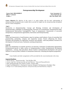# **Entrepreneurship Development**

*Course Code: MBA18208DCE MBA 2nd Semester Credits: 3*

*Cont. Assessment: 15 Term End Exam: 60 Min. Pass Marks: 40%*

**Course Objective***: The objective of this course is to equip students with the basic understanding of entrepreneurship development and to enable them to provide an insight into the entrepreneurship development and new venture management*.

#### **Unit I**

Introduction to Entrepreneurship: Concept and Meaning; Evolution and development of entrepreneurship; Challenges of entrepreneurship, Functions of an Entrepreneur; Entrepreneurial skills; Entrepreneurial Motivational Training(EMT); Types of entrepreneurs; Characteristic of successful entrepreneurs; Entrepreneurial opportunities; Innovations and Entrepreneurship.

#### **Unit-II**

Nature and characteristic of small business; steps for starting a small industry; Forms of ownership-Sole proprietorship, partnership, company and cooperative society; Factors influencing the choice; Procedure and formalities for registration; incentives and subsidies –need and problems; Incentives for development of backward areas. Institutions assisting entrepreneurs.

#### **Unit-III**

Role of an entrepreneur in economic growth as an innovator; Generation of employment opportunities; Entrepreneurial growth in India; sources of entrepreneurship in India; Entrepreneurial development programmes - concept, need and phases; Recent Trends in entrepreneurial development with special reference to Start-up India; Problems in institutional framework; evaluating development programmes.

#### *Note:-*

*Cases Studies and other assignments will be provided by the concerned faculty in the class.*

- *1. David A.Kir by, " Entrepreneurship " Tata McGRaw Hills*
- *2. Jasmer singh Sain, Entrepreneurship and small Business" Deep and Deep publication*
- *3. Holt- Entrepreneurship: New Venture Creation , Prentice-Hall.*
- *4. Singh P and Bhanderkar A- Winning the Corporate Olympiad: The Renaissance Paradigm, Vikas*
- *5. Bridge S et al- Understanding Enterprise: Entrepreneurship and Small Business, Palgrave.*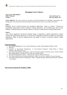# **Managing Across Cultures**

*Course Code: MBA18002GE MBA 2 Credits:2 Min. Pass Marks: 40 %*

*Ferm End Exam: 50* 

**Course Objective:** *The course focuses on the impact of cultural background on individuals, organizations and management; on the dimensions which discriminate national cultures, and on cross-cultural interactions* 

#### **Unit-I**

Managing Across Cultures-concept and managerial implications. Types of cultures .Creating and maintaining organizational culture, Hofested's cultural dimensions, The GLOBE project and its major findings; Communicating across cultures: Barriers to effective communication in global organizations.

#### **Unit-II**

Cross culture negotiation and decision making: Stages in negotiation in global organizations; cultural, national and organizational influences on the process of negotiation; Effective strategies for international negotiations: Steps in decision making process and impact of culture on decision making in globa organizations.

#### **Suggested Readings:-**

- *1. International Management: Cross-Cultural Dimensions, Author: Richard Mead; Publisher: Wiley*
- *2. Blackwell*
- *3. Essentials of International Management: A Cross-Cultural Perspective Author: David C Thomas; Publisher: Sage Publications, Inc*
- *4. International management: Managing in a diverse & dynamic global environment, Autors :Arvind V Phatak Rabi S Bhagat/Roger J.Kashlak. Mc Graw Hill, special Indian edition.*
- *5. International Management, Author – Helen Deresky, Imprint -Pearson Education*
- *6. The Cultural Dimensions of International Business, Author-Gary Ferraro , Imprint- Pearson Education*
- *7. International Human Resource Management, Author- Sengupta Nilanjan, Bhattacharya Mousumi S Publisher – Excel Books.*

*Name of Course Instructor:Dr. Mushtaq A. Siddiqi*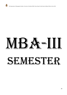

# $M-B, A-B-I$

# IFSTE!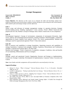# **Strategic Management**

*Course Code: MBA18301CR MBA 3 rd Semester Credits: 4*

*Cont. Assessment: 20 Term End Exam: 80 Min. Pass Marks: 40%*

**Course Objective:** *The objectives of this course are to integrate the skills and knowledge students have acquired in functional areas and develop in students a holistic perspective of the enterprise and critical business skills needed to plan and manage strategic activities effectively.*

#### **Unit: I**

Nature, scope, and relevance of strategic management; strategy v/s operation decisions, Strategic decision-making process. Building organisation's vision, mission,: Porras's BHAG framework-core purpose and core vale, Prahlad's concept of Strategic intent. Hamel's framework of Core-competence.

#### **Unit: II**

Environmental Appraisal—Concept of environment, components of environment (Economic, legal, social, political and technological).Environmental scanning techniques SWOT(strengths, weaknesses, opportunities & treats). Industry level analysis: Porter's five forces model(modified). Methods and techniques used for organizational appraisal: Porter's Value chain analysis

#### **Unit: III**

Role of resources and capabilities in strategy formulation. Appraising resources and capabilities in strategy formulation. Corporate level strategies: Stability, Expansion, Retrenchment and Combination strategies. Corporate level analysis (BCG, GE Nine-cell).

Business level strategies—Porter's framework of competitive strategies; Conditions, risks and benefits of Cost leadership, Differentiation and Focus strategies.

#### **Unit: IV**

Strategic control and operational Control; Organization Structure and Strategy as implementation-Control tool; Strategic Leadership: Development & Implementation, Corporate Culture: Execution and Control.

*Note:-Cases Studies and other assignments will be provided by the concerned faculty in the class.* 

- *1. Michael E. Porter, "What Is Strategy?" Harvard Business Review 74, no. 6 (November– December 1996), pp. 65–67.*
- *2. Cynthia A. Montgomery, "Putting Leadership Back into Strategy," Harvard Business Review 86, no. 1 (January 2008).*
- *3. James C. Collins and Jerry I. Porras, "Building Your Company's Vision," Harvard Business Review 74, no. 5 (September–October 1996), pp. 65–77;*
- *4. Jim Collins and Jerry Porras, Built to Last: Successful Habits of Visionary Companies (New York: HarperCollins, 1994);*
- *5. Henry Mintzberg, Bruce Ahlstrand, and Joseph Lampel, Strategy Safari: A Guided Tour through the Wilds of Strategic Management (New York: Free Press, 1998);*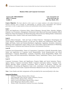#### **Business Ethics and Corporate Governance**

*Course Code: MBA18302DCE MBA 3rd Semester Credits: 4*

*Cont. Assessment: 20 Term End Exam: 80 Min. Pass Marks: 40%*

**Course Objective:** *The basic objective of the course is to expose students to the ethical dimensions of business decisions and to develop an understanding of corporate social responsibility and corporate governance in order to equip students to frame and institutionalize ethical business strategies.*

#### **Unit-I**

Nature and Significance of Business Ethics; Ethical Dilemmas, Personal Ethics, Morality, Religion, Etiquette, Law, Economics, Management, Professional Code; Moral and Non-moral Standards; Ethical Relativism; Moral Development and Moral Reasoning; Ethical Decision Making Model; Globalization and Business ethics- Eastern Values and western Business systems

#### **Unit-II**

Business Ethical Principles – Role and Types of Ethical Theories- Teleological, Deontological and Virtue; Egoism, Utilitarianism-classical, act and rule; Free Market and Utilitarianism; Kant's Ethics, Rights and Duties, Justice and Fairness-Distributive, Egalitarian, Capitalistic, Socialistic, Libertarian, Retributive and Compensatory Justice; Ethics of care; Virtue Ethics; Ethical Dimensions of Marketing, Human Resource, Production and Financial Decisions; Environmental Protection

#### **Unit III**

Corporate Social Responsibility- Nature of Corporations; Corporation as Morally Responsible Agent; Nature and significance of Corporate Social Responsibility, Social Responsiveness and Social Performance; Corporate Philanthropy; Corporate Citizenship; Social Responsibility Model; Free Market Theory and Profit Maximization; Shareholders Theory, Stakeholders Theory, Social Contracts Theory

#### **Unit IV**

Corporate Governance: Nature and Significance; Property Rights and Social Institution Theory, Agency Theory; Corporate Governance Model; Corporate Governance Failure; Corporate Scam; Whistle Blowing; Indian Corporate Governance; Role of Board of Directors, Auditors, and Shareholders; Accounting and Regulatory frame work, committees in India and abroad, Corporate Ethics Programme; Social Audit; Corporate Performance-Balanced Score Card, Triple Bottom Line.

*Note:- Cases Studies and other assignments will be provided by the concerned faculty in the class.*

- *1. Manuel G Velasquez: Business Ethics, Pearson*
- *2. John R Boatright: Ethics and the Conduct of Business, Pearson.*
- *3. Willaim H Shaw: Business Ethics, Thomson.*
- *4. Andrew Crane & Dirk Matten: Business Ethics, Oxford*
- *5. Daniel Albuquerque: Business Ethics, Oxford*
- *6. Thomas Clarke: International Corporate Governance, Routledge*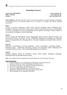# **Marketing of Services**

*Course Code: MBA18304CR MBA 3rd Semester Credits: 4*

*Cont. Assessment: 20 Term End Exam: 80 Min. Pass Marks: 40%*

**Course Objective:** *The basic aim of this course is to expose the student to the unique challenges of marketing and managing services and delivering quality service to customers in a complex and dynamic marketing environment.*

#### **Unit-I**

Concept of services, importance, Goods versus Services marketing, Service Marketing Mix; Emergence & Reasons for growth of service sector in India, Characteristics of services, Classifications of services, Environment of Services Marketing, Service Quality Gap Model, Gronross Model of service quality; Challenges to Service Marketing.

#### **Unit-II**

Services Design and Development; Service Blueprinting; Service Process; Physical Evidence and Servicescape; Pricing of services; Services Distribution Management; Managing the Integrated Services Communication Mix; Managing Service Personnel; Employee and Customer Role in Service Delivery.

#### **Unit-III**

Importance of positioning in Services Marketing – Steps in developing a positioning strategy – Positioning Maps – Relationship Marketing: Creating and maintaining valued relationship with Customers; Service recovery –role of Internal Marketing in service delivery.

#### **Unit-IV**

Building marketing strategy for hospitality, tourism, travel, medical, information technology, educational, financial and entertainment services.

*Note: -Cases Studies and other assignments will be provided by the concerned faculty in the class.* 

- *1. Christian Gronroos, Service Management and Marketing, John Wiley & Sons Ltd.*
- *2. Valarie A. Zeithaml, et al, Service Marketing, Tata McGraw-Hill.*
- *3. Christopher Love Lock, Service Marketing, Pearson Education Asia.*
- *4. Kruise, Service Marketing, John Wiley & Sons Ltd.*
- *5. Tom Powers, Marketing Hospitality, John Wiley & Sons Inc.*
- *6. Philip Kotler, Marketing of non-profit organization, Prentice Hall.*
- *7. Helen Woodruffe, Services Marketing, Macmillan.*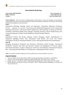# **International Marketing**

*Course Code: MBA18305DCE MBA 3rd Semester Credits: 3*

*Cont. Assessment: 15 Term End Exam: 60 Min. Pass Marks: 40%*

**Course Objective:** *The course aims at making students understand the concept and techniques of international marketing and train them to develop and implement plans and marketing strategies for entering into international markets and managing overseas operations.*

#### **Unit-I**

International Marketing: Meaning, Nature and Importance; International Marketing Orientation: E.P.R.G. – Approach: An overview of the International Marketing Management Process; International Marketing Environment., International Market Segmentation and Positioning; Screening and Selection of Markets; International Market Entry Strategies: Exporting, licensing, Contract Manufacturing, Joint Venture & Setting-up of Wholly Owned Subsidiaries Aboard, Strategic Alliances.

#### **Unit-II**

International Product and Pricing Strategies: Product Designing: Product Standardization Vs. Adaptation; Managing Product Line, International Trade Product Life Cycle, New Product Development; Pricing for International Markets: Factors Affecting International Price Determination: **Unit-III**

Managing International Distribution and Promotion: Distribution Channel Strategy –International Distribution Channels, their Roles and Functions; Selection and Management of Overseas Agents; International Distribution Logistics; Planning for Trade Fairs and Exhibitions; International Promotion Mix – Advertising and other Modes of Communication. Understanding Global Consumer.

*Note:-Case studies and other assignment will be provided by the concerned faculty in the class.*

#### **Suggested Readings:**

*1. Cateora, Philip R. and Graham John L.(2005). International Marketing. Tata McGraw- Hill Edition.*

- *2. Terpstra, Vern and Sarathy, Ravi (2000). International Marketing. The Dryden Press, Chicago.*
- *3. Keegan, Warren J. (7th Edition, 2002). Global Marketing Management. Pearson Education, New Delhi.*
- *4. Kotabe Masaaki and Helsen Kristiaan (2nd Edition, 2001). Global Marketing Management. John Wiley & Sons (Asia) Pte Ltd.*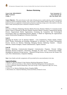# **Business Marketing**

*Course Code: MBA18306DCE MBA 3rd Semester Credits: 3*

*Cont. Assessment: 15 Term End Exam: 60 Min. Pass Marks: 40%*

**Course Objective: -***This course focuses on the study of buying process, market selection, and the development of effective business marketing strategies. This course aims to make students familiar with terms, concepts and framework those are significant in the formation of business marketing strategy and to help students to develop skills to make marketing decisions in Business-to-Business situation.*

#### **Unit-I**

Overview of Business Marketing; Business Market Processes; Business Markets Vs Consumer-Goods Market; Nature of Demand for Business Markets; Business Market Customers; Organizational Buying Process; Organizational Market Segmentation; Evaluating the Competitive and Technological Environment; Bases for Segmenting Business Markets; A Model for Segmenting the organizational market; Relationship Management in Business Marketing

#### **Unit-II**

Managing the Product Line for Business Markets – Core Competencies, Product Quality, Product Policy, Product Positioning and Branding; Management of innovation, New Product Development Process; Services for Business Marketing; Managing Business Marketing Channels – Channel Selection, Channel Strategies, Channel Administration, Logistics Interface

#### **Unit-III**

Business Marketing Communication–Integrated Communication Programs, Personal Selling; Managing Business-to-Business Advertising, Managing the Sales force; Communication Budget; Managing the Industrial Pricing function – Industrial Pricing Process; Pricing across the Product Life cycle, Price Administration, Competitive Bidding

*Note:-Cases Studies and other assignments will be provided by the concerned faculty in the class.*

#### **Suggested Readings:**

1.*Michael, D. Hutt and Thomas W. Speh, Business Marketing Management, Thomson* 

*2. James C. Anderson and James A. Narus, Business Marketing Management, Pearson Education* 

*3. Corey, E Raymond. Industrial Marketing: Cases and concepts. 3rd ed. Englewood Cliffs, New Jersey, PrenticeHall* 

*4. Gross, A C etc. Business Marketing. Boston, Houghton Mifflin.* 

*5. Hill, Richard. Etc. Industrial Marketing. Homewood Illinois, Richard D. Irwin.*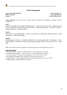# **Brand Management**

*Course Code: MBA18307DCE MBA 3rd Semester Credits: 3*

*Cont. Assessment: 15 Term End Exam: 60 Min. Pass Marks: 40%*

**Course Objective***: -The course aims at making students understand the Significance of Brands and their management.* 

#### **Unit-I**

Concept and significance of brands, Branding process – brand mark and trade mark – different types of brand – family brand, individual brand, private brand – selecting a brand name – functions of a brand – branding decisions – influencing factors.

#### **Unit-II**

Brand vision – brand ambassadors – brand as a personality, as trading asset, Brand extension – brand positioning – brand image building.

#### **Unit-III**

Branding impact on buyers – competitors, Brand loyalty – loyalty programmes – brand equity – role of brand manager – Interrelations with manufacturing, marketing, finance, purchase and R  $\&$  D – brand audit.

*Note:-Cases Studies and other assignments will be provided by the concerned faculty in the class.* 

#### **Suggested Readings:**

*1. Kevin Lane Keller, "Strategic brand Management", Person Education, New Delhi.* 

*2. Lan Batey Asian Branding – "A great way to fly", Prentice Hall of India, Singapore.* 

*3. Jean Noel, Kapferer, "Strategic brand Management", The Free Press, New York.* 

*4. Paul Tmeporal, Branding in Asia, John Wiley & sons (P) Ltd., New York.* 

*5. S.Ramesh Kumar, "Managing Indian Brands", Vikas publishing House (P) Ltd., New Delhi.* 

*6. Jagdeep Kapoor, Brandex, Biztantra, New Delhi.*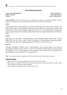# **Advertising Management**

*Course Code: MBA18308DCE MBA 3rd Semester Credits: 3*

*Cont. Assessment: 15 Term End Exam: 60 Min. Pass Marks: 40%*

**Course Objective: -***The aim of the paper is to acquaint the students with concepts, techniques and give experience in the application of concepts for developing an effective advertising programme.*

#### **Unit-I**

Concept and definition of advertisement- its role in the marketing process; Legal, Social, Economic and Ethical implications of advertisements; Setting advertisement objectives: Ad agencies; Selection and remuneration; Advertisement campaign; Importance of creativity in advertising-creative strategy and process; implementation and evaluation, Nature & significance of integrated marketing communication (IMC).

#### **Unit-II**

Major players in advertising : Advertising agency, Brand Manager, Market research firms , media; Media Plan- type and choice criteria; reach and frequency of advertisements; Advertising budgetestablishment and allocation ,budgeting approaches; The process of developing an Ad .

#### **Unit-III**

Message development; different types of advertisements; layout; design appeal; copy structure; advertisement production; print; Radio, TV and web advertisements; Media Research; testing validity and reliability of Ad's ; measuring impact of advertisements; Advertisement copy-its components and types; Production and execution of TVC's and print AD'S.

*Note: -Cases Studies and other assignments will be provided by the concerned faculty in the class***.** 

- *1. Aaker, David A etc., Advertising Management 4 th Ed. New Delhi, PHI, 1985.*
- *2. Belch George E. and Belch, Michael A; Advertising and promotion, Tata McGraw Hill, New Delhi. Ogilvy David, Ogilvy on advertising, London, Longman.*
- *3. Borden, William H. Advertising New York, John Wiley, 1981.*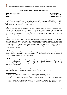# **Security Analysis & Portfolio Management**

*Course Code: MBA18309CR MBA 3rd Semester Credits: 4*

*Cont. Assessment: 20 Term End Exam: 80 Min. Pass Marks: 40%*

**Course Objective: -***This course aims at to acquaint the students with the working of security market and principles of security analysis and also to develop the skill required for portfolio management so as to be able to judge the competitive position of firms in capital market and review the related business decisions in the light of standard finance theory vis-à-vis to behavioral finance theory.*

#### **Unit–I**

Introduction: Properties of financial assets, Meaning and Concept of investment, characteristics and objectives of investments, role of security market in economy, various securities and their characteristics, mechanics of security trading: Security Market Indices- computation through market value method, price weighted method and equal weighted method, sensitive index of equity prices; Various types of security markets and their functions.

#### **Unit–II**

Efficient Capital Markets Theory**-**Need for efficient capital markets, efficient market hypothesis –weak form, semi strong and strong form; capital asset pricing model; stock market volatility; Risk and Returnhistorical and expected rates of return, mean and measurement of risk of expected and historical return, common measures of risk and return; *Market Efficiency and* Behavioral Finance- explanation of biases and Fusion Investing Theory; review of the efficient market paradigm and analyses of the behavioral challenge staged against it.

#### **Unit–III**

*Fundamental Security Analysis*: Economic analysis **–** purpose, sources of information and techniques; *Industry Analysis* – objectives, sources of information, and techniques; *Company Analysis-* objectives, company analysis through financial ratio analysis.

#### **Unit-IV**

*Portfolio Theory and Management***-**concept, objectives, principles, portfolio return, portfolio risk, covariance, correlation and variance, determination of portfolio beta and alpha, optimum portfolio, two asset portfolio, Markowitz portfolio theory, finding the efficient frontier and investors' utility, Sharpe's Index Model of Optimization.

*Note: This paper shall have 50% numerical & 50% theoretical questions*. *Note: Case Studies and other assignments will be given by the concerned faculty in the class.*

- *1. Amling, "Fundamentals of Investment Analysis", Prentice Hall, International Edition.*
- *2. Farozzi, Franch J: Investment Management, Prentice Hall, International Edition.*
- *3. Gupta, L. C : Stock Exchange Trading in India : Society for Capital Market Research and Development, Delhi*
- *4. Sharpe, William F, Gordon J Alexander and J. V Bailly: "Investments", Prentice Hall of India, New Delhi.*
- *5. Chandra, Prasanna: Investment Analysis & Portfolio Management, Tata McGraw Hill Publishing House.*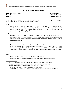# **Working Capital Management**

*Course Code: MBA18310DCE MBA 3rd Semester Credits: 3*

*Cont. Assessment: 15 Term End Exam: 60 Min. Pass Marks: 40%*

**Course Objective:** *The objective of the course is to acquaint students with the importance of the working capital and the techniques used for effective working capital management.*

#### **Unit-I**

Working Capital – Concepts. Components of Working Capital. Objectives of Working Capital. Determinants of Working Capital. Estimating Working Capital needs. Operating Environment of Working Capital. Approaches to Working Capital Investment – Walters approach and Trade off approach. Financing of Working Capital.

#### **Unit-II**

Management of cash and marketable securities – Objectives and Decisions. Motives for holding cash. Managing cash flows – problems and issues. Cash forecasting – preparation of cash budget. Investment in marketable securities. Optimization models for short term investments - Baumol model, Miller-Orr model and Stone model.

#### **Unit-III**

Management of Inventory. Components of inventory. Objectives of inventory control. Costs in inventory system. Techniques of inventory management – determination of order point, Analysis of quality discounts and safety level. Selective inventory control techniques – ABC analysis, VED analysis, FSN analysis. Emerging trends in inventory management. Receivables and Payables Management—Concept.

#### *Note:-*

- *1. This paper shall have 50% numerical and 50% theoretical questions.*
- *2. Cases Studies and other assignments will be provided by the concerned faculty in the class*.

#### **Suggested Readings:**

- 1. *Bhalla, V.K. Working Capital Management: text and cases, Delhi, Anmol Publications,*
- *2. Hampton J.J. and C.L.Wagner Working capital management, John Wiley and sons,*
- *3. Rao K V. Management of Working Capital. New Delhi, Deep & Deep.*
- *4. Scherr F C. Modern Working Capital Management, Prentice hall.*

*5. Smith, Keith V and Gallinger G. W. Readings on Short-term Financial Management, West Pub. Co.*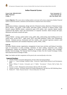# **Indian Financial System**

*Course Code: MBA18311DCE MBA 3rdSemester Credits: 3*

*Cont. Assessment: 15 Term End Exam: 60 Min. Pass Marks: 40%*

**Course Objective:** *This course aims at making students conversant with various components of Indian Financial System viz financial markets, institutions and instruments in analytical and critical manner.*

#### **Unit-I**

Introduction-evolution, components, design and role of financial system, objectives of financial system; *Money Market-* call market, T-Bill market, Inter-bank market, certificate of deposit market, ready forward contract (REPO) market, commercial paper (CP) market, inter corporate deposit market, commercial bill market; Types and characteristics of corporate securities: shares-concept and types, debentures and bonds-concept and types.

#### **Unit-II**

Primary Market –concept, capital market scams, public offer, underwriting, book building process for capital issues, on-line IPO's, rights issues, IPO's and SEBI guidelines, Public issue management; Security Valuation process- discounted cash flow models, cross sectional regression analysis, yield valuation; Depositories and Custodians*-*Depository system, NSDL, CDSL.

#### **Unit-III**

Secondary Market-concept, organization, management of post issue activities and listing of securities, types of transactions in stock exchange, mechanics of share trading, transaction costs, trading arrangements, trading and settlement, categories of securities, inter-net trading, stock exchanges-Bombay Stock Exchange, The National Stock Exchange of India, Over the Counter Exchange of India, Interconnected Stock Exchange of India.

*Note: Case Studies and other assignments will be given by the concerned faculty in the class.*

- *1. Farozzi, Franch J: Investment Management, Prentice Hall, International Edition.*
- *2. Gupta, L. C : Stock Exchange Trading in India : Society for Capital Market Research and Development, Delhi*
- *3. Sharpe, William F, Gordon J Alexander and J. V Bailly: "Investments", Prentice Hall of India, New Delhi.*
- *4. Francies J. Clark : Management of Investments; McGraw Hill, New Delhi*
- *5. Chandra, Prasanna : Investment Analysis & Portfolio Management, Tata McGraw Hill Publishing House.*
- *6. Pathak, B.V. "India Financial System", Pearson Education, New Delhi*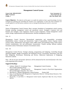# **Management Control System**

*Course Code: MBA18312DCE MBA 3rd Semester Credits: 3*

*Cont. Assessment: 15 Term End Exam: 60 Min. Pass Marks: 40%*

**Course Objective: -***The objective of this paper is to enable the students to have a good knowledge of various techniques for planning and controlling the activities of an organisation; to learn how these techniques are actually applied in real life business situations so far as managerial planning and control is concerned.*

Unit  $-I$ 

Nature of Management Control Systems: Basic concepts; boundaries of management control systems: Strategic planning, management control and operational control. Strategies: Corporate level and business unit strategies. Goal congruence: Factors of goal congruence. Formal management control system: design, implementation and administration. Informal management controls.

 $Unit - II$ 

Management Control Structure: Decentralized organization and responsibility accounting. Responsibility centres: Concept and characteristic. Types of responsibility centres: Expense centres, revenue centres, administrative and support centres, R&D centres and marketing centres. Profit centres: General considerations, role and performance measurement. Transfer pricing; different methods. Investment centres: Performance measure of investment centres.

 $Unit - III$ 

Management Control Process: Strategic planning, programming and budgeting. Controlling through Operating Budgets: Budget Formulation and Settlement Process. Incremental, Performance and Zero Base Budgeting. Performance Monitoring and Review. Behavioral Implications of Budgeting. Interactive controls.

*Note:- The list of cases and specific references will be announced by the concerned faculty in the class at the beginning of the semester.*

- 1. Anthony Robert N Govindrajan Vijay, Management Control Systems; Tata McGrawHill publishing House
- 2. Anthony Robert N, Young David W., Management Control in Non-Profit Organisations; McGrawHill higher Education, New York
- 3. Merchant K C,Modern Management Control Systems Printice Hall
- *4.* Hersy, P and Blanchard, HB Management of Organization Behavior: Utilizing Human Resources. New Delhi, Prentice Hal of India*.*
- *5. Maciariello, J A and Kirby C J. Management Control System. Englewood Cliffs, New Jersy, Prentice Hall Inc.*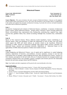# **Behavioral Finance**

*Course Code: MBA18313DCE MBA 3rd Semester Credits: 3*

*Cont. Assessment: 15 Term End Exam: 60 Min. Pass Marks: 40%*

**Course Objective: -***The course introduces the main concepts of behavioral finance. It focuses on the judgment and perception biases and preference errors. The course also introduces to the prospect theory, its applications in the market and explains the principles of behavioral investing. It provides the overview of market anomalies and relates them to behavioral explanation.* 

#### **Unit–I**

*Introduction:* background and evolution of behavioral finance, contribution of pioneers of behavioral finance experts, human behavioral theories- prospect theory, heuristics: fusion investing; Behavioral Biases: overconfidence bias, representative bias, herding bias, anchoring bias, cognitive bias, regret aversion bias, gamblers fallacy bias, mental accounting, hindsight bias, escalation bias, confirmation bias.

#### **Unit–II**

*Review of Neo Classical Finance Theory:* Efficient market hypothesis, factors contributing to an efficient market, Three sub hypotheses of EMH and implications of each of them, tests and results which support the EMH and which indicate an anomaly related to the hypothesis; *Behavioral Challenges to EMH-* Analysis of behavioral challenge stage against EMH, investors rationality and behavioral biases, emotion and investment decisions, implications of behavioral biases on the applicability of EMH, behavioral patterns of Indian stock market investors.

#### **Unit–III**

*Capital Budgeting and Behavioral Finance:* cost of capital and its significance in capital budgeting decisions, implications of heuristics, overconfidence, excessive optimism, aversion to sure loss and confirmation bias on managers capital budgeting decisions; *Risk and Behavioral Finance* :Analysis of firm valuation, perceptions of risk and return, the use of valuation heuristics by managers/analysts and consequent valuation biases, how managers, analysts, strategists and investors perceive the relationship between risk and return, prospect theory and IPO behavior

*Note: Case Studies and other assignments will be given by the concerned faculty in the class.*

- *1. Amling, "Fundamentals of Investment Analysis", Prentice Hall, International Edition.*
- *2. Donald, E. Fisher & Ronald J. Jordon: Security Analysis & Portfolio Management, Pearson Education, New Delhi.*
- *3. Farozzi, Franch J: Investment Management, Prentice Hall, International Edition.*
- *4. Gupta, L. C : Stock Exchange Trading in India : Society for Capital Market Research and Development, Delhi*
- *5. Sharpe, William F, Gordon J Alexander and J. V Bailly: "Investments", Prentice Hall of India, New Delhi.*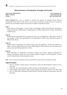# **Human Resources Development: Strategies and Systems**

*Course Code: MBA18314CR MBA 3rd Semester Credits: 4*

*Cont. Assessment: 20 Term End Exam: 80 Min. Pass Marks: 40%*

**Course Objective:-***The course is designed to introduce the students the changing Human Resource Development Scenario and to enable them to cope-up with the challenge of change and also to acquaint the students with various HRD strategies and experiences in different organizational setups.*

#### **Unit–I**

Human Resource Development.– Concept, Goals and Challenges of HRD. Human Resource Development climate and elements of HRD climate. Contributing factors of HRD climate practices in India. Measurement of HRD Climate.

#### **Unit–II**

Human Resource Development for line mangers-Concept, issues and Significance;, HRD matrix, the role of line managers in HRD. The responsibilities of line management for HRD system. Motivational aspects of HRD and role efficacy.

#### **Unit–III**

Human Resource Development for workers-concept, Issues and significance; rationale and objectives of HRD for workers. HRD mechanism for workers. HRD strategies. HRD mechanisms and subsystems used in public, private and banking organizations in India.

#### **Unit–IV**

HRD mechanisms for organizations. Performance appraisal and Potential Appraisal mechanisms for managers development-concept and issues. Potential appraisal linkages for the development of human resource. Requirements of potential appraisal system.

*Note: -The case studies/ presentations will be announced by the course instructor during the semester.*

- *1. Rao,T.V.. Reading in Human Resource Development, Oxford and IBH Publishing Company Pvt.Ltd., New Delhi*
- *2. Singh, Rao, Nair. Selected Readings in HRD. Tata McGraw Hill Publishing Co., New Delhi.*
- *3. Kohli, Uddesh & Sinha, Dharni P. HRD- Global Challenges & Strategies in 2000 A.D. New Delhi, ISTD*
- *4. Rao, T.V. HRD Audit: Evaluating the Human Resource Function for Business Improvement, Sage Pub. New Delhi.*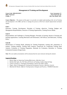# **Management of Training and Development**

*Course Code: MBA18315DCE MBA 3rdSemester Credits: 3*

*Cont. Assessment: 15 Term End Exam: 60 Min. Pass Marks: 40%*

**Course Objective:** *- The purpose of this paper is to provide an in-depth understanding of the role of Training and development in the HRD, and how to manage the process of T& D for smooth empowerment of human capital.*

#### **Unit-I**

Education, Training, Development. Principles of Training, objectives, Training, Budgets and Management Responsibilities, Structure of Training Organizations, Training Process Model.

#### **Unit-II**

Responsibilities and Challenges to Training Managers. Principles of learning, theories of learning and learning organizations. Learning Motivation and Performance, Self Efficacy and Motivation, Training Policy.

#### **Unit-III**

Identification of Training Needs, planning for Training Programme, training aids, preparation of trainees. Training methods, Training Need Analysis, Framework for Conducting Training Need Analysis, Evaluation of Training Programme, Rationale for Evaluation, Resistance to Training Evaluation,Evaluation Design Issues.

*Note:-The case studies/ presentations will be announced by the course instructor during the semester.*

- *1. Beunet, Roger ed. Improving Training Effectiveness. Aldershot, Gower*
- *2. Buckley R & Caple, Jim. The Theory & Practice of Training. London, Kogan & Page.*
- *3. Lynton, R. Pareek, U. Training for Development. 2nd Ed. New Delhi, Vistaar.*
- *4. Pepper, Allan D. Managing the Training and Development Function. Aldershot, Gowerm*
- *5. Blanchard & Thacker, Effective Training System, Strategies and Practices, PEARSON Education*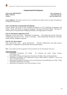# **Organizational Development**

*Course Code: MBA18316DCE MBA 3rd Semester Credits: 3*

*Cont. Assessment: 15 Term End Exam: 60 Min. Pass Marks: 40%*

**Course Objective***: -The objective of this course is to familiarize the students with the concepts and application of organization development.*

#### **Unit-I: Introduction to Organization Development**

Concept, Nature and Scope of O.D. Historical Perspective of O.D. Underlying Assumptions and Values. Theory and Practice on change and changing. The Nature of Planned Change. The Nature of Client Systems: Group Dynamics, Intergroup Dynamics and Organizations as Systems.

#### **Unit-II: Operational Components of O.D**

Diagnostic, Action and Process – Maintenance Components, Action Research and O.D. Some key considerations and issues in O.D. Issues in consultant – Client relationships, Mechanistic & Organic systems and the contingency approach

#### **Unit-III: O.D. Interventions**

Team Interventions, Inter – group Interventions Personal, Interpersonal and group process interventions, Comprehensive Interventions Structural Interventions

*Note: -Cases Studies and other assignments will be provided by the concerned faculty in the class.* 

- *1. Organization Development and Change – By Cummings and Worley Cenage learning. www.cengage.co.in*
- *2. Management of Change and Organisation Development, SK Bhatia, Deep and Deep publishers.*
- *3. Organization Development and Transformation, Special Indian Edition by Wendell .L French and others. Tata McGraw Hill. Co.*
- *4. Organisation Development Principles, Process and Performance By Amitabh Mehta, year 2009 - Global India Business Publications, New Delhi.*
- *5. Organisation Development by Joan Gallos & Edgar H. Schein.*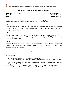# **Managing Interpersonal and Group Dynamics**

*Course Code: MBA18317DCE MBA 3rd Semester Credits: 3*

*Cont. Assessment: 15 Term End Exam: 60 Min. Pass Marks: 40%*

**Course Objective***: The purpose of this course is to advance understanding regarding interpersonal and group processes and help the participants to examine and develop process facilitation skills.*

#### **Unit-I**

Nature of Groups at work: Basic Concepts, Types of groups, Dynamics of group formation, structure and dynamics of work groups, group cohesiveness. Group Vs Teams: Concept of Teams, Distinguishing Team from groups.

#### **Unit-II**

Effective Team Performance: Creating Teams, making Team successful obstacles to success, types of teams and Dysfunctions of groups and Teams, Dynamics of Informal groups, Training in Team skills, developing successful teams.

#### **Unit-III**

Individual Performance in groups: Interpersonal communication, - Johari Window, Interpersonal awareness, Social facilitation, Social loafing Interpersonal Trust, - Interpersonal conflicts, Group decision making, Group Synergy.

*Note: -Cases Studies and other assignments will be provided by the concerned faculty in the class.* 

- *1. Bennis, W G Essay in International Dynamics U.S.A Dorsey Press*
- *2. Kolb, D etc. Organizational Behaviour: An Experiential Approach 5th ed. Englewood Cliffs, New Jersey, Prentice Hall, Inc.*
- *3. Kolb, D etc. Organizational Behaviour: Practical Readings for management 5th ed. Englewood Cliffs, New Jersey, Prentice Hall, of India.*
- *4. Mainiero, L A & Tromley C I Developing managerial Skills in OB New Delhi, Prentice hall of India*
- *5. Moore, M D netc. Inside Organizations: Understanding the Human Dimensions London, Sage*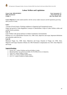# **Labour Welfare and Legislations**

*Course Code: MBA18318DCE MBA 3rd Semester Credits: 3*

*Cont. Assessment: 15 Term End Exam: 60 Min. Pass Marks: 40%*

**Course Objective:***To make students familiar with the various welfare measures and the legislations governing labor practices in India.*

### **Unit-I**

Concept of Social Justice, Working conditions in Organized and Unorganized sectors:

Origin and growth of State Regulation Concept of LaborWelfare: Scope of Labor Welfare within and outside Factory premises.

### **Unit -II**

Labor Welfare with special reference to Indian Constitution, Environmental

Pollution vis a vis LaborWelfare Factories Act, 1948: Aims, objectives and scope; Important definitions and authorities under the Act.

### **Unit-III**

Minimum Wages Act, 1948: Aims, Objectives and Scope, Payment of Wages Act 1936: Aims, Objective and Scope; Payment of Bonus Act 1965 Workmen's Compensation Act 1923: Aims Objective and Scope.

- *1. Saxena, R.C.: Labour Problems and Social Welfare in India.*
- *2. Barwell and Kar: Law of Service in India, Vol. II (1956), Service in Industries.*
- *3. Vaid, K.N.: Labour Welfare in India.*
- *4. Johari, C.K.: Issues in Indian Labour Policy.*
- *5. Giri, V.V.: Labour Problems in Indian Industry.*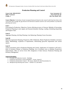# **Production Planning and Control**

*Course Code: MBA18319CR MBA 3rd Semester Credits: 4*

*Cont. Assessment: 20 Term End Exam: 80 Min. Pass Marks: 40%*

**Course Objective***: To develop a broad conceptual framework based on the research which has been done in the recent past and to bridge the gap between the theoretical solutions and the real world problems in production planning and control.* 

#### **Unit-I**

Forecasting for Production: Objectives, Factors affecting accuracy of forecast, Methods of forecasting; Production Planning to meet regular and Seasonal demands, Routing, Loading, Scheduling dispatching and Progress Chart.

#### **Unit-II**

Aggregate Planning, Job Shop Planning, Line Balancing, Planning Versus Execution.

#### **Unit-III**

Materials requirement Planning, Perspective, Bill of Materials, Master Production Schedules, Inventory Status, Methodology, Explosion of requirements, Determining gross/Net requirement and various reports.

#### **Unit-IV**

Various documents used in Production Planning and Control. Application of Computers in PP and C; Role of Inventory Planner in Production Planning, Use of Inventory turn to stimulate Productivity improvements, effect on service level, ROI, Integration of Sales forecast, Production Planning and Inventory Management.

- *1. Principles of Production Control – Burbidge.*
- *2. Production and Invntory Control Handbook – Greene, Jamas H.*
- *3. Production and Inventory Control – Mc Leavey, Dennies W. And Narasimohan S.L.*
- *4. Manufacturing Planning and Control – Valiman T.E. and Others.*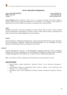### **Service Operations Management**

*Course Code: MBA18320DCE MBA 3rd Semester Credits: 3*

*Cont. Assessment: 15 Term End Exam: 60 Min. Pass Marks: 40%*

**Course Objective:-***The Key objective of this course is to acquaint the students with decision making in planning, design, delivery, quality and scheduling of service operations. The candidates are also expected to appreciate the role of service quality and operations in emerging services economy of India.* 

#### **Unit-I**

Emergence and Nature of Services, Importance of Service Sector, Role of Services, Service Tripod, Service Classification, Characteristics of Services, Service Types, Service Process- components and types, Service process model, Designing of service operations,

#### **Unit-II**

Service Operations vs Manufacturing Operations, Location and layout Decisions for service operations, Service Environment, Employee Training and Skill development, Use of Technology in service operations, Outsourcing of services and online service delivery.

#### **Unit-III**

Capacity Management in Services - Yield Management, Scheduling Decisions, Service Scheduling, Waiting Lines, Inventory Management, Service Operational Planning and Control, Process Analysis, Complaint Management, Service Recovery, Costing of services- Methods and Approaches

*Note: -Cases Studies and other assignments will be provided by the concerned faculty in the class.* 

- *1. Richard Metters, Kathryn King-Metters, Madeleine Pullman "Service Operations Management", Thomson*
- *2. Cengiz Haksever, Roberta S. Russell, Barry Render, Robert G. Murdick, "Service Management and Operations, 2/e", Pearson Education*
- 3. Fitzsimmons, James, "Service Management: Operations, Strategy, Information Technology", McGraw-Hill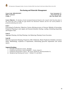# **Purchasing and Materials Management**

*Course Code: MBA18321DCE MBA 3rd Semester Credits: 3*

*Cont. Assessment: 15 Term End Exam: 60 Min. Pass Marks: 40%*

**Course Objective: -***To develop a broad conceptual framework based on the research which has been done in the recent past and to bridge the gap between the theoretical solutions and the real world problems in production planning and control.*

#### **Unit-I**

Forecasting for Production: Objectives, Factors affecting accuracy of forecast, Methods of forecasting; Production Planning to meet regular and Seasonal demands, Routing, Loading, Scheduling dispatching and Progress Chart.

#### **Unit-II**

Aggregate Planning, Job Shop Planning, Line Balancing, Planning Versus Execution.

#### **Unit-III**

Materials requirement Planning, Perspective, Bill of Materials, Master Production Schedules, Inventory Status, Methodology, Explosion of requirements, Determining gross/Net requirement and various reports.

- *1. Principles of Production Control - Burbidge*
- *2. Production and Invntory Control Handbook – Greene, Jamas H.*
- *3. Production and Inventory Control – Mc Leavey, Dennies W. And Narasimohan S.L.*
- *4. Manufacturing Planning and Control – Valiman T.E. and Others*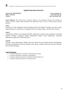# **Applied Operations Research**

*Course Code: MBA18322DCE MBA 3rd Semester Credits: 3*

*Cont. Assessment: 15 Term End Exam: 60 Min. Pass Marks: 40%*

**Course Objective:** *This module aims to introduce students to use quantitative methods and techniques for effective decisions making; model formulation and applications that are used in solving business decision problems*

#### **Unit-I**

Introduction to OR: Managerial Decision Making and OR. OR Models: Principles and Types. Linear Programming and its application in management decision making, Duality, and Sensitivity Analysis

#### **Unit-II**

Transportation Models, Trans-shipment Problem, application in supply chain management Travelling Salesman Problem, Assignment Models. Replacement Models: Group Replacement, Individual Replacement Application of Queuing Theory

### **Unit-III**

Inventory control (deterministic Models only) Price Break Inventory Model Dynamic Programming. Principles of Optimality, Recurrence Relation Game Theory: strategic importance, prisoners dilemma, Pure and Mixed Strategy.

- *1. J K Sharma Quantitative Techniques for Managerial Decisions.*
- *2. N D Vohra Quantitative Techniques in Management*
- *3. S.D.Sharma Operations Research 12th Kedar Nath Ram Nath & Co*
- *4. V.K.Kapoor Operations Research 7th Sultan Chand*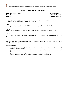# **Goal Programming in Management**

*Course Code: MBA18323DCE MBA 3rd Semester Credits: 3*

*Cont. Assessment: 15 Term End Exam: 60 Min. Pass Marks: 40%*

**Course Objective: -***The objective of this course is to acquaint the students with the concepts, solution methods and applications of goal programming to real world problems.* 

#### **Unit-I**

Goal Programming- Basic Concept, Model Formulation, Graphical and Simplex Method.

#### **Unit-II**

Integer Goal Programming, Post Optimal Sensitivity Analysis, Parametric Goal Programming

#### **Unit-III**

Goal Programming, under Uncertainty, Application of Goal Programming in Functional Areas of Management

*Note: -The list of cases and specific references will be announced by the concerned faculty in the class at the time of launching of the course.* 

- 1. *Cook, Thomas M and Rursell, Robert A. Introduction to management science, 3rd ed. Englewood Cliffs, New Jersey, Prentice Hall Inc.*
- 2. *Eppen, G.D.etc., Quantitative Concepts for Management. Englewood Cliffs, New Jersey, Prentice Hall Inch.*
- 3. *Ignizio, J.P. Goal Programming and Extensions. Lexington. Lexington Books.*
- 4. *Ijler Y. Management Goals and Accounting for Control, Amsterdam, North Holland.*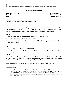# **Knowledge Management**

*Course Code: MBA18324CR MBA 3rd Semester Credits: 4*

*Cont. Assessment: 20 Cont. Assessment: 80 Min. Pass Marks: 40%*

**Course Objective:** *This course aims at making students conversant with the basic concepts of KM, its characteristics and architecture, tools and techniques of KM.*

#### **Unit-I**

Concepts of Data, Information, Knowledge, Experience, Commonsense and Intelligence. KM Myths – KM Life Cycle – Types of Knowledge – Expert Knowledge – Human Thinking and Learning. Challenges in Building KM Systems – Conventional Vs KM System Life Cycle (KMSLS)

#### **Unit-II**

Knowledge Creation and Knowledge Architecture – Nonaka's Model of Knowledge

Creation and Transformation, Knowledge Architecture

Knowledge Capture- Tools and techniques of capture of Tacit Knowledge, Delphi Method, Balack boarding, Repository Grid

#### **Unit-III**

Knowledge Codification – How to codify knowledge,

Tools and Procedures – Knowledge Maps, Decision Tables, Decision Trees, Frames, Production Rules, System Testing and Deployment

#### **Unit-IV**

Transfer Methods – Role of the Internet in Knowledge Transfer Knowledge Transfer in E-world - Intranets, Extranets, Groupware and Groupware applications. Business Intelligence – Decision Making Architecture – Data Management – Knowledge portal technologies

*Note:-Cases Studies and other assignments will be provided by the concerned faculty in the class.* 

- *1. Elias.M. Award & Hassan M. Ghaziri – "Knowledge Management" Pearson Education*
- *2. Guus Schreiber, Hans Akkermans, Anjo Anjewierden, Robert de Hoog, Nigel Shadbolt, Walter Van de Velde and Bob Wielinga, "Knowledge Engineering and Management", Universities Press, 2001.*
- *3. C.W. Holsapple, "Handbooks on Knowledge Management", International Handbookson Information Systems, Vol. 1 and 2, 2003*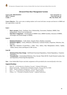### **Advanced Data Base Management Systems**

*Course Code: MBA18325DCE MBA 3rd Semester Credits: 3*

*Cont. Assessment: 15 Term End Exam: 60 Min. Pass Marks: 40%*

**Course Objective: -***This course aims at making students well versed with latest concepts and theories in DBMS and their applicability in daily life.*

#### **Unit-I**

- **Basic concepts:** Entity, Attributes, Keys, Relationship, Association, Database, DBMS, Data Independence, Three Level Architecture.
- **Data Base Components** Classification of DBMS Users, DBMS Facilities, Structure of DBMS, Advantages and Disadvantages of DBMS.

#### **Unit-II**

- **Relational Databases** Codd's Rules, Integrity Rules, Database Anomalies
- **Relational Algebra** Union, Difference, Intersection, Cartesian Product, Projection, Selection, Join, Division
- **SQL**-Date Definition (Create/Drop a Table, View, Index), Data Manipulation (Select, Update, Delete, Insert), forms and Reports in MS-Access.

#### **Unit-III**

- **Relational Data Base Design -** Full/Partial Functional Dependency, Partial Dependency, Transitive Dependency
- **Normalization** Unnormalized Relations, First, Second, Third, BCNF, Fourth Normal Lossless Join and Dependency Preserving Decomposition.

*Note: - Cases Studies/Mini Projects and other assignments will be provided by the concerned faculty in the class.*

- *1. Desai, B., "An Introduction to Database Concepts", Galgotia Publications.*
- *2. Elmsari & Navathe, "Fundamentals of Database Systems",Pearson Edu.New Delhi.*
- *3. Hoffer, "Modern Database management", Pearson Edu. New Delhi.*
- *4. Date, C. J., "An Introduction to Database Systems", Addison Wesley.*
- *5. Ullman, J. D., "Principals of Database Systems", Galgotia Publications.*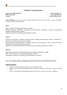# **Machine Learning Systems**

*Course Code: MBA18326DCE MBA 3rd Semester Credits: 3*

*Cont. Assessment: 15 Term End Exam: 60 Min. Pass Marks: 40%*

**Course Objective: -***This course aims at making students conversant with the basic concepts of Machine Learning, tools and techniques of ML.*

#### **Unit-I**

Basic concepts of learning and Machine Learning. Machine learning- Definitions, techniques and applications. Supervised Learning, Unsupervised Learning, Reinforcement Learning

Difference between Data Mining and Machine Learning.

#### **Unit-II**

Decision Tree-Numeric Attributes, Missing Values, Pruning, Estimating Error Rates, Complexity of Decision Tree Induction, From Trees to Rules

Neural Networks (NN)-Perceptron, Artificial neural network architecture, Feed Forward NN, Back Propagation NN, NN applications in business.

Support Vector Machines (SVM)-SVM architecture and working. Application of SVM

#### **Unit-III**

SOM (Neural networks) - SOM architecture and working. Application of SOM ART- ART architecture and working. Application of ART Clustering-Technique of clustering and its applications in business.

#### *Note:-***Cases Studies and other assignments will be provided by the concerned faculty in the class.**

- *1. Mitchell, T. (1997). Machine Learning. New York: McGraw-Hill.*
- *2. Mehryar Mohri, Afshin Rostamizadeh, Ameet Talwalkar, Foundations of Machine Learning, The MIT Press*
- *3. Yaser S. Abu-Mostafa, Malik Magdon-Ismail, Hsuan-Tien Lin, Learning From Data , AMLBook*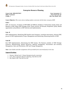# **Enterprise Resource Planning**

*Course Code: MBA18327DCE MBA 3rd Semester Credits: 3*

*Cont. Assessment: 15 Term End Exam: 60 Min. Pass Marks: 40%*

**Course Objective:-***This course aims at making students conversant with the basic concepts of ERP.*

#### **Unit-I**

ERP: An Overview, Evolution of ERP-MRP and MRP-II, Problems of Information islands, Risks and Benefits of ERP, Major ERP Packages (SAP, Oracle, BAAN, JD Edwards, PeopleSoft, QAD), Market opportunities and problems in ERP selection and implementation.

#### **Unit -II**

ERP implementation: Identifying ERP benefits team formation, consultant intervention, selection ERP, process of ERP implementation, Project Management and Monitoring, Measuring benefits of ERP.

#### **Unit-III**

Post ERP Implementation, Maximizing the ERP System, The Business modules of ERP Package: Financial, Manufacturing, Human Resources, Material management, Procurement and Inventory Management, Sales and Distribution, ERP and Change Management.

*Note:-Cases Studies and other assignments will be provided by the concerned faculty in the class.*

- *1. Hammer, Michael and J. Champ, Reengineering the corporation*
- *2. Leon, Alexis, Enterprise Resource Planning, Tata McGraw Hill*
- *3. Ray, Rajesh, ERP, Tata McGraw Hill*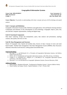# **Geographical Information Systems**

*Course Code: MBA18328DCE MBA 3rd Semester Credits: 3*

*Cont. Assessment: 15 Term End Exam: 60 Min. Pass Marks: 40%*

**Course Objective:** *To provide an understanding of the basic concepts and uses of GIS technology and spatial analysis.*

#### **Unit-I: Concepts and Definitions**

Geographic Information System (GIS): Definition and applications; GIS and Remote Sensing interface; Components and elements of GIS; Development of GIS technology; Geographic objects: point, line, area and their computer representation; Analog and digital maps.

#### **Unit-II: Functional Components**

Data input/ capturing, storage and manipulation, query, data analysis and presentation, topology creation, data quality and errors in GIS.

#### **Unit-III: Data Management and Structure**

Nature of Geographic data: Spatial and attribute data; Sources of data; Concept of vector and raster based models: Attribute data management: Data Base Management System (DBMS); Data Structures: relational, hierarchical and network; Linking spatial and attribute data.

#### **Suggested Readings:**

- *1. Burrough, P. A., and McDonnell, R. A., Principles of Geographical Information Systems, 2nd Edition, Oxford University Press*
- *2. Demers, M. N., Fundamentals of Geographic Information Systems, John Wiley & Sons, 3rd Edition.*
- *3. Longley, P. A., Goodchild, M. F., Maguire, D. J., and Rhind, D. W., Geographic Information Systems and Science, John Wiley and Sons*
- *4. Heywood, I. et. al, An Introduction to Geographic Infomation Systems, Pearson Education, Delhi.*

#### *Additional Readings*

- *1. Ramez Elmasri, Shamkant B.Navathe, "Fundamental of Database Systems", Pearson Addison Wesley*
- *2. Shashi Shekhar and Sanjay Chawla, "Spatial Databases: A Tour", Prentice Hall.*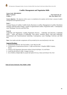# **Conflict Management and Negotiation Skills**

*Course Code: MBA18003GE Credits: 2 Min. Pass Marks: 40 %*

*MBA 3rd semester Term End Exam: 50*

**Course objective: -***The objective of this course is to familiarize the students with the basic concept of conflict management and negotiation process.*

#### **Unit–I**

Concept; Process of conflict; Conflict levels; Reactions to conflict; Management of conflict; Resolution strategies; PRAM model; Pondey's model of organizational conflict; Negotiation skills. Contemporary cases/ Readings/ Exercises and Role Play.

### **Unit–II**

Leadership and Negotiation; Leading Negotiation Process; leadership and Diversity; Leadership skills; styles and theories of leadership; Trait theory; Situation theory; Path goal leadership; Transactional and Transformational leadership; Contemporary cases/ Readings/ Exercises and Role Play.

**Note:** *Case studies and other assignments will be provided by the concerned faculty in the class.*

#### **Suggested Readings:**

- *1. Organizational Behavior- By Fred Luthans; Irwin/ McGraw Hill*
- *2. Fundamentals of organizational behavior- Griffin and Moorhead ; Houghton Mifflin Company, Boston*
- *3. Getting to YES Negotiation Agreement without Giving In-By Roger, Ury and Patton*
- *4. Leadership-By Richard L.Daft,; Cengage Learning*
- *5. Seven Hobbits of Highly Effective people-By Stephen R.Covey; Simon and Schuster New York*

*Name of Course Instructor: Prof. Shabir A. Bhat*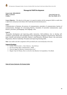

# **Managerial Skill Development**

*Course Code: MBA18002OE MBA 3<sup>rd</sup> Semester Term End Exam: 50*<br>*Credits:2 Min. Pass Marks: 40* 

*Credits:2 Min. Pass Marks: 40 %*

**Course Objective: -** *The objective of this paper is to equip the students with the managerial Skills to enable them to effectively communicate and enhance their leadership and motivational powers.*

#### **Unit-I**

Communication in Business, the process of communication, principles of communication, barriers of communication, Strategies for overcoming Barriers. Essentials of nonverbal communication, types: kinesics, proxemics, paralanguage, time language, color.

#### **Unit-II**

Personality development and improving public interaction. Self-confidence, how to develop selfconfidence, good attitude, time management, stress management, delegation and persuasion. Motivation, types: intrinsic and extrinsic motivation, Maslow's need hierarchy, Herzberg's theory, why motivation, Negotiation, effective leadership. Perception and improving listening skills.

*Note: Case studies and other assignment will be provided by the concerned faculty in the class.*

#### **Suggested Readings:**

- *1. Lesikar, Petit & Lesikar's, Basic Business, Tata McGraw*
- *2. Poe & Fruchling, Basic Communication, AITBS*
- *3. Diwan & Aggarwal Business Communication Excel*
- *4. Baugh, Frayer & Thomas, How to write first class Business Correspondence, Viva Books*

*Name of Course Instructor: Dr.Farzana Gulzar*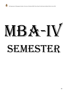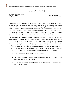

### **Internship and Training Project**

*Course Code: MBA18401CR MBA*  $4^{th}$  *Semester*<br>*Credits* 06

*Max. Marks: 150 Credits 06 Min. Pass Marks: 40%*

Students shall have to undergo 06 to 08 weeks of internship in any sector/company/organization of their choice. This internship not only bridges the gap between theoretical and practical applications but also enhances the skill set and knowledge required to thrive in the corporate world. Students will also get an opportunity to understand the corporate world better, be a good team player, understand what their customers and clients require from them in addition to prepare them for better placement opportunity. Based on this internship the students shall be required to write and submit a project report to the Department immediately after the completion of the internship.

The **Internship and Training Project (MBA18401CR)** shall be evaluated by company supervisor and by external examiner followed by project viva-voce conducted by the panel of experts. The evaluation of Internship and Training Project shall consist of three parts. Firstly, evaluation shall be done by the company supervisor where student is placed and shall have weightage of 02 credits. Secondly, evaluation shall also be done by the external evaluator, to be appointed by the Head, Department of Management Studies, University of Kashmir from the panel and shall have weightage of 02 credits. Lastly, evaluation shall be made by the following panel of experts through Viva-Voce of the students and shall have weightage of 02 credits:

- **a)** Head, Department of Management Studies as Chairman;
- **b)** One External Examiner from the panel submitted by Head of the Department and approved by the Hon'ble Vice Chancellor;
- **c)** Two teachers (Professor/Associate Professor) of the department to be nominated by the Head of the Department.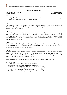

### **Strategic Marketing**

*Course Code: MBA18403CR MBA 4th Semester Credits: 4*

*Cont. Assessment: 20 Term End Exam: 80 Min. Pass Marks: 40%*

**Course Objective:** *The basic aim of the course is to expose the students to the strategic framework that keeps organizations relevant and effective in the competitive markets.* 

#### **Unit-I:**

New Paradigms in Marketing; Corporate strategy vs. Strategic Marketing; Nature, scope and tasks of Strategic Marketing; Strategic Marketing vs. Strategic Marketing; Overview of Strategic Process; Strategic Intent-Vision, Mission

#### **Unit-II**

Nature and components of marketing environmental, Assessing internal environment; SWOT analysis; PEST analysis, Porter's Five Force Model; Customer analysis; Competitor analysis- levels of competition, competitive advantage; competitive intelligence; competitive strategies; Resources-based view of competitive advantage, Creating and sustaining competitive advantage; Value Chain Analysis; Resources audit and utilization.

#### **Unit-III**

Nature and Scope of Marketing Strategy; Strategic market planning; Strategic position and action; New Generic Strategies; Marketing Strategies for leaders, challengers, and followers; Competitive strategies for domestic players; Strategies for global players.

#### **Unit-IV:**

Models of Strategic Choice; Factors governing selection of strategy; Controlling Marketing Strategies; Methods of Performance Evaluation; Basic Control Tools, Balanced Score Card, Internal Marketingnature and scope, Internal Marketing Mix, Difference between Internal Marketing and External Marketing, Key success factor of Internal Marketing

*Note:-Cases Studies and other assignments will be provided by the concerned faculty in the class.*

- *1. David A. Aaker, Strategic Market Management, John Wiley*
- *2. Sahaf, M.A., Strategic Marketing, Prentice-Hall of India, New Delhi*
- *3. Cravens, D W., Strategic Marketing Homewood Illinois, Richard D. Irwin.*
- *4. Xavier, M.J., Strategic Marketing, Response Books- A division of Sage Publications, New Delhi*
- *5. Orville C.Walker,Jr.,Marketing Strategy, Tata McGraw Hill, New Delhi*
- *6. Linda E. Swayne, Cases in Strategic Marketing, Prentice Hall, New Delhi*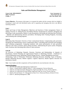## **Sales and Distribution Management**

*Course Code: MBA18404DCE MBA 4th Semester Credits: 3*

*Cont. Assessment: 15 Term End Exam: 60 Min. Pass Marks: 40%*

**Course Objective: -***The purpose of this paper is to acquaint the student with the concepts which are helpful in developing a sound sales and distribution policy and in organizing and managing sales force and efficient marketing channels.*

#### **Unit-I**

Nature and Scope of Sales Management; Objectives and functions of Sales management; Nature of Selling; Overview of Selling Process and Selling Theories; Prospecting for customers; Designing and delivering of sales presentation; Modes of sales presentation, Recruiting and selecting Sales Personnel – Methods and administering selection procedures; Developing Sales Training Programs, Executing and Evaluating sales training programs.

#### **Unit-II**

Motivating Sales Personnel, Overview of basic motivational theories; Compensating sales personnel, Designing and Administering various Compensation Plans; Controlling Sales personnel and managing sales evaluation programmes, Comparing standards with actual performances of sales personnel; Objective and Types of Quotas, Quota setting procedure, Administering the quota system; Designing Sales Territories and Allocating Sales efforts to sales territories.

#### **Unit-III**

An Overview of Marketing Channels; Structure, Functions and Relationships of channels of Distribution; Channel Planning and organizational Patterns in Marketing Channels - Traditional vs. Vertical Marketing system; Marketing Channel Design Process; Channel Management Decisions Wholesaling; Types of Wholesales; Wholesales Marketing Decisions; Retailing: Types of Retailers, Retailer Marketing Decision. Market Logistics: Logistics objectives, Market logistics decisions for distribution channel.

*Note: -Cases Studies and other assignments will be provided by the concerned faculty in the class.* 

- *1. Still, R R. & Cundiff; Sales Management, Englewood C*
- *2. Tanner, J; HoneycuttED; Erffmeyer Robert C.; Sales management: Pearson Education*
- *3. Anderson, R. Professional Sales Management. Englewood Cliff, New Jersey, Prentice Hall Inc.,.*
- *4. Anderson, R. Professional Personal Selling. Englewood Cliff, New Jersey, Prentice Hall Inc..*
- *5. Buskirk, R H and Stanton, W J. Management of Sales Force. Homewood Illonois, Richard D Irwin.*
- *6. Kotler P. ,Marketing Management, TMH*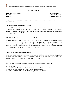### **Consumer Behavior**

*Course Code: MBA18405DCE MBA 4th Semester Credits: 3*

*Cont. Assessment: 15 Term End Exam: 60 Min. Pass Marks: 40%*

**Course Objective***: The basic objective of the course is to acquaint students with the dynamics of consumer decision-making.*

#### **Unit–I: Introduction to Consumer Behavior**

Scope and Relevance of consumer behavior, nature and importance and interdisciplinary nature. Application of consumer behavior in marketing, the consumer research process- quantitative and qualitative research. Segmentation: Uses and bases of segmentation. Consumer decision-making process, psychographics and VALS.

#### **Unit-II: Individual Determinants of Consumer Behavior**

Consumer motivation: Needs, goals and their interdependence. Rational vs. emotional motives, Dynamic nature of motivation, Consumer learning: Motivation, cues, response and reinforcement. Behavioral learning and cognitive learning theories. Attitude formation and change:attitude and its formation. Cognitive dissonance theory and attribution theory. Personality and consumer behavior: Nature of personality, Self-image, Vanity and consumer behavior.

#### **Unit-III: External Behaviorial Determinants**

Influence of reference groups - Friendship, Work, Celebrity and family. Impact of social class, culture, subculture and cross-cultural factors on consumer behavior.The process of opinion leadership and motivation behind opinion leadership. Diffusion of innovations.

**Note:** *Case studies and other assignment will be provided by the concerned faculty in the class.*

- *1. Leon G.Schiffman & Leslie Lazar Kannk, Consumer Behaviour, Prentice-Hall of India*
- *2. Reynolds & Wells: Consumer Behaviour - McGraw Hill, International.*
- *3. James F.Ingel Roger.D. & Blackwell - Consumer Behaviour - Dryden Press*
- *4. S.C.Mehta - Indian Consumers - Tata McGraw Hill*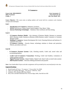### **E-Commerce**

*Course Code: MBA18406DCE MBA 4th Semester Credits: 3*

*Cont. Assessment: 15 Term End Exam: 60 Min. Pass Marks: 40%*

**Course Objective: -***This course aims at making students well versed with the e-commerce and e-business concepts and technologies.*

#### **Unit I**

- Introduction to E-Commerce- Definition, Evolution,
- **WWW** Web Servers, Clients, Email, Search Engines, Chat, Music, Video.
- **Internet Marketing Technologies**  Databases, Data warehouse and Data mining**.**

#### - **Unit II**

- **E-Commerce Business Models –** Key elements of Business Models, Business to consumer (B2C) Business model, Business-to-Business (B2B) Business model, Consumer to Consumer Business model
- **Building E-Commerce-** System Development life Cycle, Choosing Software and hardware. Ecommerce Site Tools
- **E-Commerce Security –** Security threats, technology solutions to threats and protection. Policies, procedures and Laws

#### **Unit III**

- **E-Commerce Payment Systems:** Cash, Checking transfer, Credit card, stored value and accumulating Balance.
- **Credit Card E-Commerce Transactions:** Working, Credit Card Enablers, Limitations of Online payment systems
- **Digital Payment Systems :** Digital Wallets, Digital Cash, Smart Cards as stored value systems
- **B2B Payment Systems :** Electronic Billing presentment and payment

*Note:-Cases Studies/Mini Projects and other assignments will be provided by the concerned faculty in the class.*

- *1. Keneth Laudon & Traver, "E-commerce", Pearson Edu. New Delhi.*
- *2. Cady, G.H. and Part McGregor, "The Internet" BPB Pub., Delhi.*
- *3. Carpenter, Phil e Brands, HBS Press, Boston.*
- *4. Keen, Peter and Mark McDonald The e-Process Edge, Delhi, Tata McGraw Hill.*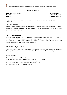## **Retail Management**

*Course Code: MBA18407DCE MBA 4th Semester Credits: 3*

*Cont. Assessment: 15 Term End Exam: 60 Min. Pass Marks: 40%*

**Course Objective: -***This course aims at making students well versed with the retail management concepts and technologies.*

#### **Unit- I: Introduction**

Overview of retailing environment and management: Functions of retailing; Building and sustaining relationships; Strategic planning; Structural change, Types of Retail Outlets, Market structure and control; Planning and development.

#### **Unit- II: Situation Analysis**

Retail institutions by ownership; Retail institutions by store-based strategy mix; Web, non- store-based, and other forms of nontraditional retailing; Targeting customers and gathering information; Communicating with customers; Promotional strategies Choosing a store location: Trading-area analysis; Site selection; Store design and layout; Display

#### **Unit- III: Managing Retail Business**

Retail organizations and HRM; Operations management: financial and operations dimensions; Managing retail services; Service characteristics; Branding: perceptions of service quality

- *1. Berman B and Evans J R- Retail Management, Pearson Education.*
- *2. Michael Lervy M and Weitz B W- Retailing Management, Tata McGraw-Hill.*
- *3. Newman A J and Cullen P- Retailing: Environment and Operations, Vikas.*
- *4. Varley R and Rafiq M- Principles of Retail Management, Palgrave.*
- *5. Lamba- The Art of Retailing, Tata McGraw-Hill.*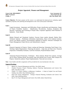# **Project Appraisal , Finance and Management**

*Course Code: MBA18408CR MBA 4th Semester Credits: 4*

*Cont. Assessment: 20 Term End Exam: 80 Min. Pass Marks: 40%*

**Course Objective:** *The basic purpose of this course is to understand the framework for evaluating capital expenditure proposals, their planning and management in the review of the project undertaken.*

#### **Unit-I**

Capital Investment - Importance and Difficulties; Project classification and dimensions. Stages of Project Feasibility Analysis – Identification, Pre-selection, Analysis, Evaluation and Decision. Generation and Screening of Project Idea; Corporate Appraisal; Profit Potential of Industries – Porter Model.

#### **Unit-II**

Market Demand and Situational Analysis; Forecast future market demand. Market Risk. Technical Analysis – Preliminary information requirements, Steps of the technical analysis. Social Cost Benefit Analysis. Environmental Appraisal of Projects. Network Techniques for Project Management; Project Review and Administrative Aspects.

#### **Unit-III**

Financial Appraisal of Projects. Project costing and financing. Estimating Total Project Cost. Working Capital Requirements. Financing the projects - long term and short term. Financial Projections- Profitability Estimates, Cash flow Estimates, Projected Balance sheets.

#### **Unit-IV**

Analyzing Financial Projections- Techniques – Ratio Analysis, Break Even analysis, Average rate of return, Payback period, Net present value and Internal rate of return. Risk Analysis for Projects. Sensitivity analysis. Project Implementation. Time and cost overruns.

*Note:- Cases Studies and other assignments will be provided by the concerned faculty in the class.* 

- *1. Bhalla,V.K. Financial Management and Policy. New Delhi, Anmol.*
- *2. Chandra Prasanna. Project; Planning, Analysis, Financing, Implementation and Control, New Delhi, Tata McGraw Hill.*
- *3. Chitale V P. Project Viability in Inflationary Conditions – A Study of Capital Cost and Project Viability, New Delhi, Vikas Publishing House.*
- *4. Patel B M. Project Management – Strategic Financial Planning, Evaluation and Control. New Delhi, Vikas Publishing House.*
- *5. Rao P C K. Project Management and Control. New Delhi, Sultan Chand & Sons.*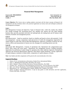### **Financial Risk Management**

*Course Code: MBA18409DCE MBA 4th Semester Credits: 3*

*Cont. Assessment: 15 Term End Exam: 60 Min. Pass Marks: 40%*

**Course Objective:***-This Course aims at making students conversant with the latest concepts of financial risk management and also introduces them to the practical application of various tools and techniques of financial risk management techniques.*

#### **Unit-I**

*Risk Management*:-Concept and objectives; Types of financial risks- credit risk, market risk, default risk, foreign exchange risk, purchasing power risk, liquidity risk, interest rate risk; Main banking business lines and risk associated with each: the banking book, the trading book and off balance sheet exposure; Scientific risk management process.

#### **Unit-II**

*Risk Measurement: -* based on sensitivity, based on volatility and based on down side potential; *Credit risk management* –concept, components, need and process of credit risk management; Approaches for capital charge for credit risks; *Interest Rate Risk Management:* objectives, essentials of interest rate risk, sources, effects and measurement of interest rate risk, strategies for controlling interest rate risk.

#### **Unit-III**

*Operational Risk Management:-* Concept of operational risk; Operational risk categorization-cause based, effect based and event based ; Operational risk management process; Guiding principles; Approaches for attribution of capital charge for operation risks- Basic Indicator Approach, Standardized Approach and Advanced Measurement Approach. Risk Based *Capital Standards:* concept, application of capital adequacy standards to Indian banks, computation of capital adequacy of banks.

*Note: Case Studies and other assignments will be given by the concerned faculty in the class.*

- *1. Chance, D. M., An Introduction to Derivatives, Dryden Press, International Edition.*
- *2. Chew, L., Managing Derivative Risk, John Wiley, New Jersey.*
- *3. Hull, J, Options : Futures & Other Derivatives, Pearson Education , New Delhi*
- *4. Dorfman, M.S. "Introduction to Risk Management and Insurance" Pearson Education, New Delhi*
- *5. Mare Lore And Lev Berodovsky, Financial Risk Management, Butterworth Heinennam, Oxfords*
- *6. Bhatacharya, K. M. , Risk Management in Banks, Himalya Pub. Company, New Delhi.*
- *7. Andrew K.,Master Financial Derivatives: A step by step guide to credit derivatives and their application, Prentice Hall India , New Delhi.*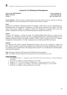# **Corporate Tax Planning and Management**

*Course Code: MBA18410DCE MBA 4th Semester Credits: 3*

*Cont. Assessment: 15 Term End Exam: 60 Min. Pass Marks: 40%*

**Course Objective: -***This course aims at making students conversant with the concept of corporate tax planning and management, as also their implications for corporate financial decision making.*

#### **Unit-I**

*Assessment of Companies*: Meaning and kinds of companies under Income Tax Act, Determination of Residential Status of Companies, Computation of taxable income (Income from business and other sources only) and tax liability of companies. *Advance Tax Payment for Companies*: Pay as you earn scheme, Computation of advance tax and interest payable on shortfall of advance tax.

#### **Unit-II**

*Corporate Tax Planning* : Concept & Scope; Tax planning differentiated from tax evasion and tax avoidance; Tax shifting and its types; Areas of tax planning; Significance, methods and problems of tax planning. *Minimum Alternate Tax (MAT)*: Scheme of MAT in brief; Concept of Zero Tax Company; Computation of book profits U/S 115JB; Computation of tax liability under MAT provisions.

#### **Unit-III**

*Tax Planning with regard to Specific Management Decision*: Lease or buy; ii) Retain or replace; iii) New capital investment (with practical problems).*Tax Planning & Financial Management Decisions*: Tax planning and tax implications in developing capital structure; Tax considerations in dividend policy (with practical problems).

*Note: This paper shall have 60% numerical and 40% theoretical questions. Note: Case Studies and other assignments will be given by the concerned faculty in the class*

- *1. Lal, B.B and Vashist, N., "Income Tax and Central Sales Tax-Law and Practice" Pearson Education, New Delhi*
- *2. Income Tax Act, BARE Act, Taxman Publications, New Delhi.*
- *3. Singhania, V. K. "Direct Tax Planning & Management", Taxman Publications, New Delhi.*
- *4. Srinivas, E. A. "Corporate Tax Planning", Tata McGraw Hill Publishing Co. Ltd. New Delhi.*
- *5. Wealth Tax Act, BARE Act, Taxman Publications, New Delhi*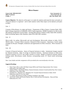# **Micro Finance**

*Course Code: MBA18411DCE MBA 4th Semester Credits: 3*

*Cont. Assessment: 15 Term End Exam: 60 Min. Pass Marks: 40%*

**Course Objective**: *The objective of the paper is to make the students understand the basic principles on which microfinance is organized and to make students realize likely impact of microfinance principles on MFIs.*

 $Unit - I$ 

Concept of Microfinance, its origin and history. Programmes of Micro finance: Grameen Bank, SHG-Bank Linkage programme of NABARD, SEWA Bank programme, SIDIBI Foundation for Microcredit, Microfinance programme of ICICI Bank. Working Microfinance models in India: Bank-SHG members, Bank-Facilitating Agency-SHG Members, Bank-NGO-MFI-SHG members.

 $Unit - II$ 

Micro-credit: An outline, Microcredit and rural development, Microcredit schemes in India, SGSY, NRLM, others. Concept of Micro insurance. Demand for Micro insurance: Importance, Current coping strategies for the poor: Strengths, weaknesses and opportunities for Micro insurance. Micro insurance in India.

 $Unit - III$ 

Concept of Financial Inclusion. Status of Financial Inclusion in India. Institutional changes required for financial Inclusion. Role of savings on financial inclusion. Financial inclusion in tribal areas. Financial inclusion of SC/ST and weaker sections of society. Models of financial inclusion: Branch banking model, Microfinance model, Business corresponding model, ICT Based model (technology based).

*Note: Cases Studies and other assignments will be provided by the concerned faculty in the class.* 

- 1. Neeta Tapan, Micro credit, Self-Help Groups (SHGs) and Women Empowerment; New Century Publications, New Delhi, India
- 2. Padmaja Mishra, Alok Ranjan Behara, Financial Inclusion, Inclusive Growth and the Poor; New Century Publications, New Delhi, India
- 3. Karmakar K.G., Banerjee G.D., Mohapatra N.P, Towards Financial Inclusion in India; SAGE Publications India Pvt Ltd, New Delhi
- 4. S. L Shetty, Microfinance in India; Academic foundation, New Delhi
- 5. Anil Kumar Thakur and Praveen Sharma, Micro Credit and Rural Development, Deep and Deep Publications Pvt. LTD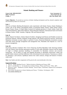# **Islamic Banking and Finance**

*Course Code: MBA18412DCE MBA 4th Semester Credits: 3*

*Cont. Assessment: 15 Term End Exam: 60 Min. Pass Marks: 40%*

**Course Objective: -***To provide an overview of Islamic banking development and how shariah compliant retail and investment products are structured.*

#### **Unit: I**

*Overview of Islamic Banking Development*: early experiments with Islamic finance, Islamic Banking in Arabia: role of the Islamic Development Bank in promoting Islamic finance, Dubai Islamic House, Kuwait Finance House, Al Rajhi Banks licensed for banking operations in Saudi Arabia; South East Asian Developments- Bank Islam Malaysia, Bank Muamalat Indonesia, International bank involvement in Islamic finance- HSBC Amanah, Citigroup, UBS and Deutsche Bank.

#### **Unit: II**

*Islamic Deposit Facilitates:* Islamic Deposit Facilities- designing Gard Hassan and Wadiah accounts for transaction deposits, Shariah complaint savings deposits with limited transaction function, unrestricted Mudaraba investment accounts subject to periods of notice, Restricted Mudaraba investment accounts with bank returns through arrangement and management fees, Murabaha time deposits as a tool for treasury management

#### **Unit: III**

*Structuring Shariah Compliant Short Term Financing Facilities:*Murabaha trade financing facilities with and without client purchase guarantees-transfers of title under Murabaha contracts and the timing of single or multiple payments, bundling of commodities for Murabaha contracts and recurrent transactions, use of letters of credit and shipping documents in Murabaha transactions: Salam and parallel Salam contracts and their difference from conventional forward contracts, Tawarruq as a vehicle for obtaining a cash advance, Qardhasan interest free credit contracts, Design and features of Islamic credit cards.

*Note: Case Studies and other assignments will be given by the concerned faculty in the class.*

- *1. Har Dr. "Islamic Banking Practice" Bahrain Institute of Banking and Fianace,2008*
- *2. Iqbal Z. and Mirakhor A., "An introduction to Islamic Finance: Theory and Practice" Wiley, 2007*
- *3. Hassan m. Kabir, "Handbook of Islamic Banking" Edward Elgar, Cheltenham, England and Northampton, Massachusetts.*
- *4. Kette, Brian, Introduction to Islamic Banking and Finance" Printhaus, Northampton, 2008*
- *5. [www.islamic-banking.com](http://www.islamic-banking.com/)*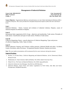### **Management of Industrial Relations**

*Course Code: MBA18413CR MBA 4th Semester Credits: 4*

*Cont. Assessment:20 Term End Exam: 80 Min. Pass Marks: 40%*

**Course Objective:** *Organizational efficiency and performance are inter linked with Industrial Relations (IR) in a business enterprise. This course provides the conceptual and practical aspects of IR at the micro and macro levels.*

#### **Unit-I**

Industrial Relations - Nature, Concept and evolution of industrial relations; Disputes, causes of industrial disputes & settlement of disputes.

#### **Unit-II**

International labor organization (ILO): Scope , objectives and membership. Trade unions; Principles of trade unions. Classification and types of trade unions. Problems of trade unions.

#### **Unit-III**

Collective Bargaining; Nature , scope & objectives of Collective Bargaining. Types and process of collective bargaining., Strike, Types of strikes.

#### **Unit-IV**

Welfare Measures; Statutory and Voluntary welfare measures. Industrial Health and safety- Accidents; Causes, Prevention, safety Provisions. Occupational Hazards, Diseases, Statutory provisions.

*Note: The case studies/ presentations will be announced by the course instructor during the semester.*

- *1. Kochan, T.A. & Katz Henry. Collective Bargaining and Industrial Relations. 2nd ed. Homewood, Illinois, Richard D Irish*
- *2. Mamkoottam, K. Trade Unionism. Myth and Reality. New Delhi, Oxford University Press*
- *3. Niland J.R. etc. The Future of Industrial Relations, New Delhi, Sage publication.*
- *4. [Industrial relations](https://www.google.co.in/search?tbo=p&tbm=bks&q=subject:%22Industrial+relations%22&source=gbs_ge_summary_r&cad=0) by [Arun Monappa,](https://www.google.co.in/search?tbo=p&tbm=bks&q=inauthor:%22Arun+Monappa%22) Tata McGraw-Hill Education.*
- 5. *Industrial Relation, Trade Unions and Labour Legislations by P.R.N Sinha, Indu Bala and Seema Priyadarshini, PEARSON Education.*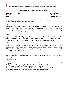# **Organizational Change and Development**

*Course Code: MBA18414DCE MBA 4 thSemester Credits: 3*

*Cont. Assessment: 15 Term End Exam:60 Min. Pass Marks: 40%*

**Course Objective: -***The objective of this course is to familiarize the students with basic organizational process to bring about organizational effectiveness and change.* 

#### **Unit-I**

Organizational Effectiveness; Critical issues of organizational effectiveness; Various approaches to measuring effectiveness; Value creation process by organization; Organizational Change-Change Process; Types and forms of organizational change; Forces for change, Resistance to change, Relationship among organizational change, design and effectiveness.

#### **Unit-II**

Organizational Culture-Meaning and Characteristics; Culture Versus Climate; Creating the Organization Culture; Strong and Weak Cultures, Cross-cultural dynamics; Power and Politics-Concept; Bases of Power; Power, Authority and Influence; Political implications of power.

#### **Unit-III**

Conflict and Negotiation- Concept; Process of Conflict; Conflict levels; Reactions to conflict; Management of Conflict; Resolution Strategies; PRAM Model. Leadership- Concept; leadership skills, Styles and Theories of Leadership-trait Theory; Situation Theory, Path Goal Leadership; Transactional and Transformational Leadership.

*Note: -The list of cases and specific references will be announced by the concerned faculty in the class at the beginning of the semester.* 

- *1. Theory of Organization Development and Change by Cummings/ Worley CENGAGE Learning, New Delhi, 2009*
- *2. Organizational Development by French and Bell, Prentice Hall of India, New Delhi*
- *3. Changing Organizations by Bennis.W.G. Tata McGraw Hill, New York*
- *4. Organization Theory, Change and Design by Richard L.Daft CENGAGE Learning, New Delhi, 2009*
- *5. Organization Design for Excellence by Khandwalla,Tata McGraw Hill, New Delhi.*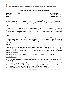# **International Human Resources Management**

*Course Code: MBA18415DCE MBA 4th Semester Credits: 3*

*Cont. Assessment: 15 Term End Exam: 60 Min. Pass Marks: 40%*

**Course Objective: -***The course seeks to look at HRM in a broader, comparative and international perspective to deal with complex issues and manifold risks on account of Globalization, growing presence of multinationals with expatriate managers, cross border mergers and acquisitions and increasing diversity of workforce.*

#### **Unit-I**

Concept of International HRM, Managing Global, Diverse Workforce, culture and international HRM, Types of cultures—Dominant culture, sub culture, organizational culture, occupational culture, strong and weak culture; Managing across borders and cultures; cultural differences and its managerial implications; creating and maintaining organizational culture.

#### **Unit-II**

Communicating across cultures: Barriers to effective communication in global organizations, leadership across cultures; The GLOBE project on leadership and its major findings; Hofestede's cultural dimensions; evolution and change in global organizational structures; Various forms of structures.

#### **Unit-III**

Cross culture negotiation and decision making: Stages in negotiation in global organizations; cultural, national and organizational influences on the process of negotiation; Effective strategies for international negotiations: Steps in decision making process and impact of culture on decision making in global organizations.

*Note: -* Cases Studies and other assignments will be provided by the concerned faculty in the class.

- *1. International Management: Cross-Cultural Dimensions, Author: Richard Mead; Publisher: Wiley Blackwell*
- *2. Essentials of International Management: A Cross-Cultural Perspective Author: David C Thomas; Publisher: Sage Publications, Inc*
- *3. International management: Managing in a diverse & dynamic global environment, Autors: Arvind V Phatak Rabi S Bhagat/Roger J.Kashlak. Mc Graw Hill, special Indian edition.*
- *4. International Management, Author – Helen Deresky, Imprint -Pearson Education*
- *5. The Cultural Dimensions of International Business, Author-Gary Ferraro , Imprint- Pearson Education*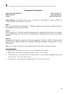# **Management Development**

*Course Code: MBA18416DCE MBA 4th Semester Credits: 3*

*Cont. Assessment: 15 Term End Exam: 60 Min. Pass Marks: 40%*

**Course Objective: -***The purpose of this course is to advance an understanding of concepts, methods and strategies underlying the development of executives.* 

#### **Unit- I**

Field of Human Resource Development: - Definition; objectives and Functions of Human Resource Development Professionals; open systems.

### **Unit-II**

Theory perspective of training; strategic planning approach; organizational environment and training; training methodology and overview of the training process; training needs assessment and training objectives.

#### **Unit-III**

Management development : perspective, MD and management education ; Pitfalls, Continuing need, Need for effective MD, MD Policy and Committees ; Planning the strategies and programme to reach MD objectives.

*Note: The case studies/ presentations will be announced by the course instructor during the semester.*

- *1. Bienvenu, B.J. "New Priorities in Training". American Management Association.*
- *2. Bibsted, Don. "Development in Interpersonal Skills Training". Gower, London.*
- *3. Brinkerhoff, Robert. "Achieving Results from Training: HBow to evaluate HRD to Stengthen Programs and Increase Impact". Jossey Bass, San Francisco.*
- *4. Craig, Robert L. "Training and Development Handbook". McGraw Hill, New York.*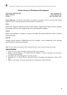# **Human Resources Planning and Development**

*Course Code: MBA18417DCE MBA 4th Semester Credits: 3*

*Cont. Assessment: 15 Term End Exam: 60 Min. Pass Marks: 40%*

**Course Objectives***: The objective of this paper is to develop a conceptual as well as a practical understanding of Human resource planning, deployment and development in organizations* 

#### **Unit-I**

Macro level manpower planning and labor market analysis; Organizational human resource planning; Stocktaking; Work force flow mapping; Age and Grade distribution mapping.

### **Unit-II**

Models and techniques of manpower; Demand and supply forecasting; Behavioral factors in Human resource planning.

#### **Unit-III**

Wastage analysis retention; Redeployment and Exit strategies; Career management; career planning and development; Performance planning.

*Note: The case studies/ presentations will be announced by the course instructor during the semester.*

- *1. Arthur.,M. Career Theory Handbook, Englewood Cliff, Prentice Hall Inc.,*
- *2. Belkaoui, A.R and Belkaoui, J.M. Human Resource Valuation: A Guide to Strategies and Techniques. Greenwood, Quorum Books*
- *3. Greenhaus, J.H. Career Management, New York, Dryden.*
- *4. Kavanagh, M.J. etc. Human Resource Information System: Development and Applications. Boston, PWS-Kent*
- *5. Mabey,C. and Salama, G. Strategic Human Resource Management. Oxford, Blackwell*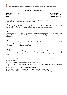# **Total Quality Management**

*Course Code: MBA18418CR MBA 4th Semester Credits: 4*

*Cont. Assessment: 20 Term End Exam: 80 Min. Pass Marks: 40%*

**Course Objective***: The objective of the course is to develop a deep insight of quality among the students and the current reliance of quality principles in the competitive era.*

#### **Unit-I**

Basic Concepts in Quality, Dimensions of Quality, Quality costs, Quality Philosophies- Contribution of Deming, Juran, Taguichi and Crossby to quality, Comparison of Quality Philosophies.

### **Unit-II**

Customer Perception of Quality, Total Quality Management-Historical Review, TQM Framework, Stages in TQM Implementation. Barriers to TQM Implementation Employee Involvement in Quality Management.

#### **Unit-III**

The seven tools of quality, Statistical and Quality Control by the use of Control Charts – Methods of Inspection and Quality Appraisal. Concept of six sigma, Continuous Process Improvement –Kaizen, Kanban and JIT. Quality Function Deployment (QFD)

#### **Unit-IV**

Need for ISO 9000 and Other Quality Systems, ISO 9000:2000 Quality System – Elements, Implementation of Quality System, Quality Auditing, ISO 14000 – Concept, Requirements and Benefits.

*Note: The case studies/ presentations will be announced by the course instructor during the semester.*

- *1. Rose J.E., Total Quality Management, Kogan Page India Pvt., Ltd.*
- *2. James R.Evans & William M.Lidsay, The Management and Control of Quality, South-Western (Thomson Learning),*
- *3. Feigenbaum.A.V. "Total Quality Management, McGraw-Hill.*
- *4. Oakland.J.S. "Total Quality Management Butterworth – Hcinemann Ltd., Oxford.*
- *5. Narayana V. and Sreenivasan, N.S. Quality Management – Concepts and Tasks, New Age International.*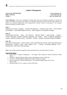### **Logistics Management**

*Course Code: MBA18419DCE MBA 4th Semester Credits: 3*

*Cont. Assessment: 15 Term End Exam: 60 Min. Pass Marks: 40%*

**Course Objective: -***The course is designed to explain basic theory and techniques of logistics to examine the issues and problems associated with logistics in a changing environment, and to show how long logistics can improve an enterprises effectiveness and competitiveness. Students would be encouraged to use computer software package for problem solving.* 

#### **Unit -I**

Definition and Scope of Logistics – Functions & Objectives – Customer Value Chain – Service Phases and attributes – Value added logistics services – Role of logistics in Competitive strategy.

#### **Unit -II**

Warehousing Functions – Types – Site Selection – Decision Model – Layout Design – Costing – Virtual Warehouse. Material Handling equipment and Systems – Role of Material Handling in Logistics. Material Storage Systems – principles – benefits – methods. Automated Material Handling.

#### **Unit -III**

Performance Measurement – Need, System, Levels and Dimensions. Internal and External Performance Measurement. Logistics Audit. Total Logistics Cost – Concept, Accounting Methods. Cost – Identification, Time Frame and Formatting.

*Note*:-Cases Studies and other assignments will be provided by the concerned faculty in the class.

- *1. Sople Vinod V, Logistics Management – The Supply Chain Imperative, Pearson Education, Indian Reprint*
- *2. Ailawadi C Sathish & Rakesh Singh, Logistics Management, Prentice Hall India*
- *3. Coyle et al., The Management of Business Logistics, Thomson Learning.*
- *4. Bowersox Donald J, Logistical Management – The Integrated Supply Chain Process Tata McGraw Hill*
- *5. Bloomberg David J et al., Logistics, Prentice Hall India*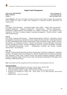### **Supply Chain Management**

*Course Code: MBA18420DCE MBA 4th Semester Credits: 3*

*Cont. Assessment: 15 Term End Exam: 60 Min. Pass Marks: 40%*

**Course Objective: -***The course is designed to explain basic theory and techniques of supply chain management and to evaluate the impact of supply chain management in improving enterprises effectiveness and competitiveness.* 

#### **Unit-I:**

The Supply Chain Revolution – Generalized Supply Chain Model – Supply chain and networks – Extended organization - Integrative Management – Responsiveness – Financial Sophistication – Globalization- Digital Business Transformation. The Logistics of Business - The Logistical Value Proposition- The Work of Logistics-Logistical Operating Arrangements - Flexible Structure –Supply Chain Synchronization.

#### **Unit-II:**

The Quality Imperative-Procurement – Manufacturing-Logistical Interfaces. Information System Functionality-Comprehensive Information System Integration-Communication Technology-Rationale For ERP Implementation-ERP System Design-Supply Chain Information System Design. Inventory Functionality and Definitions-Inventory Carrying Cost-Planning Inventory-Managing Uncertainty-Inventory Management Policies- Inventory Management Practices. Transport Functionality, Principles and Participants-Transportation Service - Transportation Economic and Pricing- Transport Administration –Documentation.

#### **Unit- III:**

Strategic Warehousing-Warehousing Operations-Warehousing Ownership Arrangements- Warehouse Decisions. Packaging Perspectives-Packaging For Materials Handling Efficiency-Materials Handling. Why Integration Creates Value- Systems Concept And Analysis-Logistical Integration Objectives-Enterprise Integration-Supply Chain Processes-Sales And Operations Planning(S & OP)-Supply Chain Planning Considerations-Pricing.

*Note:-Cases Studies and other assignments will be provided by the concerned faculty in the class.*

- *1. Supply Chain Logistics Management - Bowersox, Closs & Cooper –McGraw-Hill.*
- *2. World Class Supply Management - Burt, Dobbler, Starling, TMGH.*
- *3. Global operations & Logistics- Philippe - Pierre Dornier, John Wiley & sons Inc,New York.*
- *4. Designing and Managing the supply chain - David Simchi, Levi & Philip Kaminski, McGraw-Hill Companies Inc.*
- 5. *Operations Now – Finch, Mc Graw Hill.*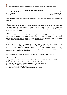



### **Transportation Management**

*Course Code: MBA18421DCE MBA 4th Semester Credits: 3*

*Cont. Assessment: 15 Term End Exam: 60 Min. Pass Marks: 40%*

**Course Objective: -***The purpose of this course is to develop the skills and knowledge regarding transportation management.*

#### **Unit-I**

Growth of urbanization and problems of transportation; Transportation challenges and limitations; Government activities in transportation; Transportation Modes: Load Planning, Transportation Modes and Their Selection. Transportation systems: Planning, Operation and management of goods transport, Trip generation and distribution;

#### **Unit-II**

Transportation Models: Sequential Travel Demand, Forecasting Models, Growth Factor Model, Regression Model, Gravity Model, Future Developments in Transportation. Motor Vehicle Act 1988: Short titles & definitions, and its Impact on Urban Transport System, Vehicular Pollution, Emission Norms; Laws governing the use of motor vehicle & vehicle transport.

#### **Unit-III**

Factors influencing transport development: physical, economic, political and strategic – concepts of connectivity and accessibility; Transport policy and planning; Basic considerations– transportation demand: Direction, Volume and Frequency. Regulation of Transport Services: Licensing policies, Transport Taxation; Transport and environment; Energy consumption in Transport; Role of international bodies in transport development.

*Note:-Cases Studies and other assignments will be provided by the concerned faculty in the class.* 

- *1. Baerwald, J E. Transportation and Traffic Engineering Handbook. Englewood Cliffs, New Jersey, Prentice Hall*
- *2. Bell, G. etc. The Business of Transport. Plymouth, McDonald and Evans.*
- *3. Dickey, J W. Metropolitan Transportation Planning. New Delhi, Tata McGraw Hill.*
- *4. Grey, G E. and Hole, L A. Public Transportation Planning: Opera-tions and Management. Englewood Cliffs, New Jersey, Prentice Hall Inc.*
- *5. Gupta, M P. Metropolitan Transportation System. New Delhi, National.*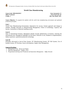# **World Class Manufacturing**

*Course Code: MBA18422DCE MBA 4 th Semester Credits: 3*

*Cont. Assessment: 15 Term End Exam: 60 Min. Pass Marks: 40%*

**Course Objective**: *To acquaint the students with the world class manufacturing environment and optimized production principles.*

#### **Unit-I**

World Class Manufacturing Environment, Imperatives for success, System approach and change in mindset, Strategic decisions in Manufacturing Management, Choice of technology, Capacity and layouts, Automation in Materials handling system.

#### **Unit-II**

State of international business, Managerial attitude towards globalization of business, Entering the international area, Managerial challenges for the future; Software in use, Problems in implementation, Indian experience, optimized production technology.

#### **Unit-III**

Principles advocated in Just-in-Time System, JIT Manufacturing System, JIT Pull System, Use of Kanban System, JIT Purchase, Source development, Supply chain Management.

- *1. Management to-day - Burton and Thakur.*
- *2. Operation Management – Hughes, Chris.*
- 3. *Programmed Learning at for Production and Operations Management. – Buffa, Elwoods*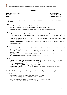### **E-Business**

*Course Code: MBA18423CR MBA 4th Semester Credits: 4*

*Cont. Assessment: 20 Term End Exam: 80 Min. Pass Marks: 40%*

**Course Objective: -***This course aims at making students well versed with the e-commerce and e-business concepts and technologies.*

#### **Unit-I**

- **Introduction to E-Commerce-** Definition, Evolution,
- **WWW** Web Servers, Clients, Email, Search Engines, Chat, Music, Video.
- **Internet Marketing Technologies**  Databases, Data warehouse And Data mining**.**

#### **Unit-II**

- **E-Commerce Business Models –** Key elements of Business Models, Business to consumer (B2C) Business model, Business-to-Business (B2B) Business model, Consumer to Consumer Business model
- **Building E-Commerce-** System Development life Cycle, Choosing Software and hardware. Ecommerce Site Tools
- **E-Commerce Security –** Security threats, technology solutions to threats and protection. Policies, procedures and Laws

#### **Unit-III**

- **E-Commerce Payment Systems:** Cash, Checking transfer, Credit card, stored value and accumulating Balance.
- **Credit Card E-Commerce Transactions:** Working, Credit Card Enablers, Limitations of Online payment systems
- **Digital Payment Systems :** Digital Wallets, Digital Cash, Smart Cards as stored value systems
- **B2B Payment Systems :** Electronic Billing presentment and payment

#### **Unit-IV**

- **Ethical, Social and Political Issues in E-Commerce:** Responsibility, Accountability and Liability.
- Privacy and Information Rights: Privacy and Legal Protections, Private industry self-regulation, Privacy Advocacy groups.
- **Intellectual Property Rights:** Types, Copyright and Patent**. Net Marketplaces** – Characteristics of Net Marketplaces, Types of Net Marketplace, E-Distributors, E-Procurement, Exchanges.

*Note:-Cases Studies/Mini Projects and other assignments will be provided by the concerned faculty in the class.*

- *1. Keneth Laudon & Traver, "E-commerce", Pearson Edu. New Delhi.*
- *2. Cady, G.H. and Part McGreger, "The Internet" BPB Pub., Delhi.*
- *3. Carpenter, Phil e Brands, HBS Press, Boston.*
- *4. Keen, Peter and Mark McDonald The e-Process Edge, Delhi, Tata McGraw Hill.*
- *5. Ravi Kalakota, E-business 2.0 Road to success, Available at Amazon. com*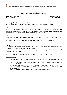## **Data Warehousing and Data Mining**

*Course Code: MBA18424DCE MBA 4th Semester Credits: 3*

*Cont. Assessment: 15 Term End Exam: 60 Min. Pass Marks: 40%*

**Course Objective:***-This course aims at making students conversant with the basic concepts of data warehouse, its characteristics and architecture, concept of data mining, tools and techniques of data mining.*

### **Unit-I**

Data Warehouse Concepts: Definitions, Characteristics, Purpose, Data Warehouse Architecture, Data Warehouse Implementation, And Data pre-processing: Data cleaning, Data integration and Transformation, Warehouse Schema Design and Metadata, Future Trends.

### **Unit-II**

OLAP Concepts: Definitions, characteristics and its types, OLAP applications in Business, Future Trends.

Data Mining Concepts: Definitions, Process and Applications in business and future trends. Difference between Data mining and OLAP

### **Unit-III**

Classification: Data Mining through Decision Trees, decision tree rules, issues in data mining through decision trees, strengths and weakness of decision trees.

Association Rules: process of association rule mining, problem of large data sets, strengths and weakness of association rules

**Note:-***Cases Studies and other assignments will be provided by the concerned faculty in the class.*

#### **Suggested Readings:**

- *1. S. Nagabhushana, Data Warehousing OLAP and Data Mining, New Age International Pvt Ltd Publishers, India*
- *2. Jiawei Han, Micheline Kamber, Data Mining – Concepts and Techniques, Morgan Kaufmann Publishers, First Edition*
- *3. Michael J A Berry, Gordon S Linoff, Data Mining Techniques, Wiley Publishing inc, Second Edition*
- *4. Alex Berson, Stephen J.Smith, Data warehousing , data mining & OLAP, Tata McGraw Hill Publications,2004*
- *5. W H Inmon, Building the data warehouse, Wiley Computer Publishing, Third edition*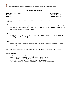## **Multi Media Management**

*Course Code: MBA18425DCE MBA 4th Semester Credits: 3*

*Cont. Assessment: 15 Term End Exam: 60 Min. Pass Marks: 40%*

**Course Objective: -***This course aims at making students convergent with basic concepts in media and multimedia management.*

#### **Unit-I**

Introduction to Multimedia- stages in a multimedia project -multimedia hardware-Multimedia Software- Basic tools-making instant Multimedia - Authoring tools. Multimedia .building blocks-Text - Sound – Images – Animation – Video

### **Unit-II**

Multimedia and Internet – Tools for the World Wide Web – Designing for World Wide Web; Assembling and delivering a Project

### **Unit-III**

Planning and costing – designing and producing – delivering. Multimedia Education – Training – Business Applications

*Note: - Cases Studies/Mini Projects and other assignments will be provided by the concerned faculty in the class*.

#### **Suggested Reading:**

- *1. Vaughan, Tay: Multimedia: Making it work, NY, McGraw-Hill.*
- *2. Minazzi Roberta, Social Media Marketing in Tourism and Hospitality, Springer.*
- *3. Lowee, Ferrel & Charles, Managing Media firms and Industries, Springer.*
- *4. Manjuala Chowdhary, Tourism Marketing, Oxford University Press, India.*
- *5. Partho Pratim, Computers in Tourism-Concepts & Applications, Oxford University Press.*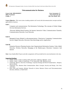## **Telecommunication for Business**

*Course Code: MBA18426DCE MBA 4th Semester Credits: 3*

*Cont. Assessment: 15 Term End Exam: 60 Min. Pass Marks: 40%*

**Course Objective: -***This course aims at making students well versed with telecommunication concepts and their applicability to business.*

### **Unit-I**

Computers and communications: The Information Technology; The concepts of Global village; On-Line Information Services.

Electronic Bulletin Board Systems; the Internet; Interactive Video; Communications Channels; Communications Networks; Local Networks

### **Unit-II**

Managerial Issues Related to telecommunications; Client/server Computing; Communications Servers; Digital Networks, Electronic Data Interchange and its Applications

### **Unit-III**

Enterprise Resource Planning Systems; Inter Organizational Information Systems; Value Added Networks; Wireless Networks; Managing in the Market-space; Electronic Commerce And Internet

*Note:-Cases Studies/Mini Projects and other assignments will be provided by the concerned faculty in the class.*

#### **Suggesting Readings:**

- *1. Derfler, Frank J. Guide to Linking LANS. Emeryville, California, Ziff-Davis Press*
- *2. Derfler, Frank J. Guide to Connectivity. 2nd ed., Emeryville, Cliff., Ziff-Davis Press*
- *3. Estabrooks, Maurice. Electronic Technology. Corporate Strategy and World Transformation , Wastport, Quoram Books*
- *4. Fitzgerald, Jerry. Business Data Communications: Basic Concepts, Security and Design., New York, John Wiley*
- *5. Keen, Peter and Cummins, Michael. Networks in Action: Business Choices and Telecommunications Decisions. Belmont, A, Wads Worth*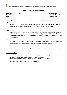## **Office Automation Management**

*Course Code: MBA18427DCE MBA 4th Semester Credits: 3*

*Cont. Assessment: 15 Term End Exam: 60 Min. Pass Marks: 40%*

**Course Objective: -***This course aims at making students well versed in office tools and the concept of smart office.*

### **Unit-I**

Concept of an automated office: Functions of a modern office, Features of office automation, Nature of requirements, Impact of IT, Support required for Business Executives.

### **Unit-II**

Applications in a modern office: Word processing, Dispatching, File keeping- storage and retrieval, Databases, Document Transmission, Telex, Telephone, e-mail Facsimile, Voicemail, Voice messaging, Telemarketing, Teleconferencing, Telecommuting, Electronic funds transfer, E-commerce.

### **Unit-III**

Equipment in a modern office: electronic pushbutton telephone, Electronic typewriter, Facsimile machine, Automatic telex, Plain paper copier, Personal Computers.

*Note:-Cases Studies/Mini Projects and other assignments will be provided by the concerned faculty in the class.*

### **Suggesting Readings:**

- *1. Computer applications in Business, Sudalaimuthu & Raj, Himalaya Publishing House.*
- *2. Introduction to Information Technology, IELTS, Pearson Education.*
- *3. Introduction to Computer Science, Peter Norton, TataMcgraw Hill Publications.*
- *4. P.K Sinha,Fundamentals of Computers, BPB publishers*
- *5. Introduction to Computer Science, IELTS, Pearson Education.*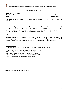## **Marketing of Services**

*Course Code: MBA18004GE Credits: 2 Min. Pass Marks: 40 %*

*MBA 4th semester Term End Exam: 50*

**Course Objective: -***This course aims at making students aware of the concept and theory of services marketing.*

### **Unit-I**

Services marketing- concepts - scope and dimensions- Classification of services-distinctive features of services – four Is of services: intangibility, inconsistency, inseparability and inventory - factors contributing to the growth of service marketing in the Indian context. Expanded marketing mix for services –Service quality –Introduction to gaps model and SERVQUAL dimensions.

### **Unit-II**

Positioning Dimensions: Importance of positioning in Services Marketing – Steps in developing a positioning strategy – Positioning Maps – Relationship Marketing: Creating and maintaining valued relationship with Customers; Service recovery –role of internal marketing in service delivery.

### **Suggested Readings:**

- *8. Christian Gronroos, Service Management and Marketing, John Wiley & Sons Ltd, 2000.*
- *9. Valarie A. Zeithaml, et al, Service Marketing, Tata McGraw-Hill, 2000.*
- *10.Christopher Love Lock, Service Marketing, Pearson Education Asia, 2001.*
- *11.Kruise, Service Marketing, John Wiley & Sons Ltd, 2000.*
- *12.Tom Powers, Marketing Hospitality, John Wiley & Sons Inc.2000.*
- *13.Philip Kotler, Marketing of non-profit organization, Prentice Hall, 2000.*
- *14.Helen Woodruffe, Services Marketing, Macmillan, 2001*

*Name of Course Instructor: Dr. Mushtaq A. Siddiqi*